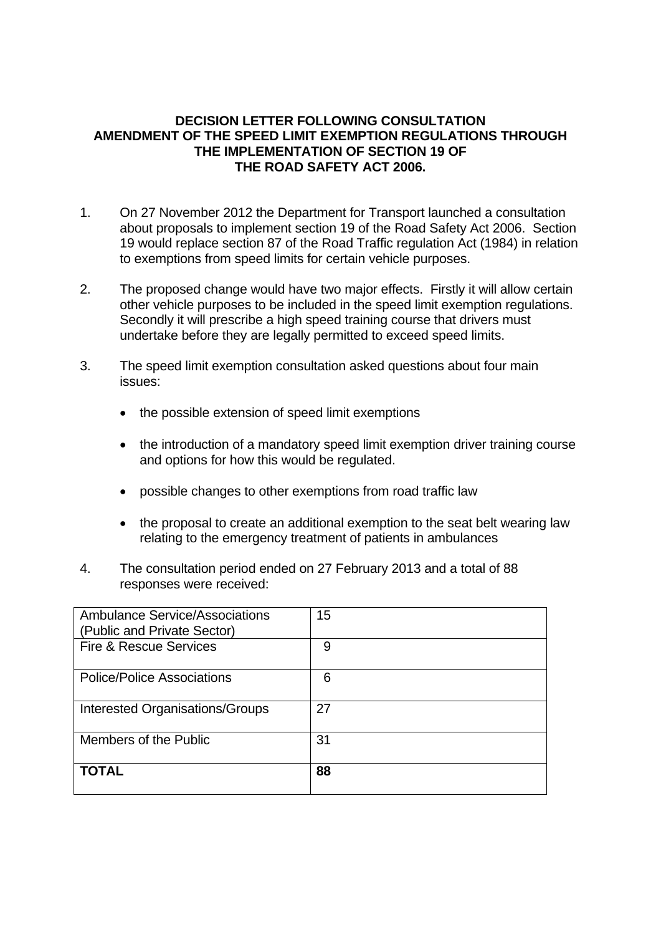#### **DECISION LETTER FOLLOWING CONSULTATION AMENDMENT OF THE SPEED LIMIT EXEMPTION REGULATIONS THROUGH THE IMPLEMENTATION OF SECTION 19 OF THE ROAD SAFETY ACT 2006.**

- 1. On 27 November 2012 the Department for Transport launched a consultation about proposals to implement section 19 of the Road Safety Act 2006. Section 19 would replace section 87 of the Road Traffic regulation Act (1984) in relation to exemptions from speed limits for certain vehicle purposes.
- 2. The proposed change would have two major effects. Firstly it will allow certain other vehicle purposes to be included in the speed limit exemption regulations. Secondly it will prescribe a high speed training course that drivers must undertake before they are legally permitted to exceed speed limits.
- 3. The speed limit exemption consultation asked questions about four main issues:
	- the possible extension of speed limit exemptions
	- the introduction of a mandatory speed limit exemption driver training course and options for how this would be regulated.
	- possible changes to other exemptions from road traffic law
	- the proposal to create an additional exemption to the seat belt wearing law relating to the emergency treatment of patients in ambulances
- 4. The consultation period ended on 27 February 2013 and a total of 88 responses were received:

| <b>Ambulance Service/Associations</b><br>(Public and Private Sector) | 15 |
|----------------------------------------------------------------------|----|
| Fire & Rescue Services                                               | 9  |
| <b>Police/Police Associations</b>                                    | 6  |
| <b>Interested Organisations/Groups</b>                               | 27 |
| Members of the Public                                                | 31 |
| <b>TOTAL</b>                                                         | 88 |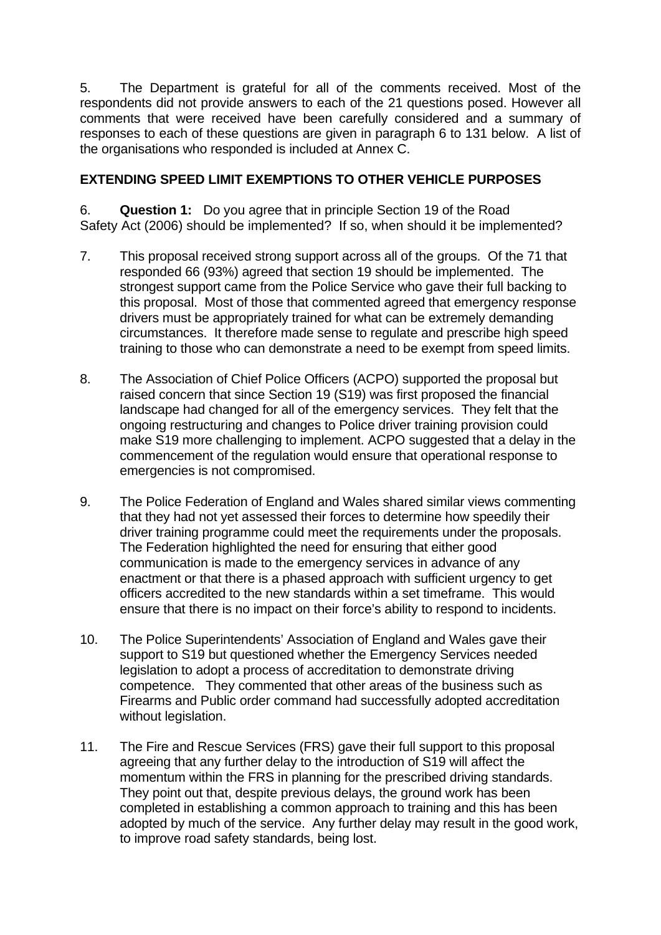5. The Department is grateful for all of the comments received. Most of the respondents did not provide answers to each of the 21 questions posed. However all comments that were received have been carefully considered and a summary of responses to each of these questions are given in paragraph 6 to 131 below. A list of the organisations who responded is included at Annex C.

# **EXTENDING SPEED LIMIT EXEMPTIONS TO OTHER VEHICLE PURPOSES**

6. **Question 1:** Do you agree that in principle Section 19 of the Road Safety Act (2006) should be implemented? If so, when should it be implemented?

- 7. This proposal received strong support across all of the groups. Of the 71 that responded 66 (93%) agreed that section 19 should be implemented. The strongest support came from the Police Service who gave their full backing to this proposal. Most of those that commented agreed that emergency response drivers must be appropriately trained for what can be extremely demanding circumstances. It therefore made sense to regulate and prescribe high speed training to those who can demonstrate a need to be exempt from speed limits.
- 8. The Association of Chief Police Officers (ACPO) supported the proposal but raised concern that since Section 19 (S19) was first proposed the financial landscape had changed for all of the emergency services. They felt that the ongoing restructuring and changes to Police driver training provision could make S19 more challenging to implement. ACPO suggested that a delay in the commencement of the regulation would ensure that operational response to emergencies is not compromised.
- 9. The Police Federation of England and Wales shared similar views commenting that they had not yet assessed their forces to determine how speedily their driver training programme could meet the requirements under the proposals. The Federation highlighted the need for ensuring that either good communication is made to the emergency services in advance of any enactment or that there is a phased approach with sufficient urgency to get officers accredited to the new standards within a set timeframe. This would ensure that there is no impact on their force's ability to respond to incidents.
- 10. The Police Superintendents' Association of England and Wales gave their support to S19 but questioned whether the Emergency Services needed legislation to adopt a process of accreditation to demonstrate driving competence. They commented that other areas of the business such as Firearms and Public order command had successfully adopted accreditation without legislation.
- 11. The Fire and Rescue Services (FRS) gave their full support to this proposal agreeing that any further delay to the introduction of S19 will affect the momentum within the FRS in planning for the prescribed driving standards. They point out that, despite previous delays, the ground work has been completed in establishing a common approach to training and this has been adopted by much of the service. Any further delay may result in the good work, to improve road safety standards, being lost.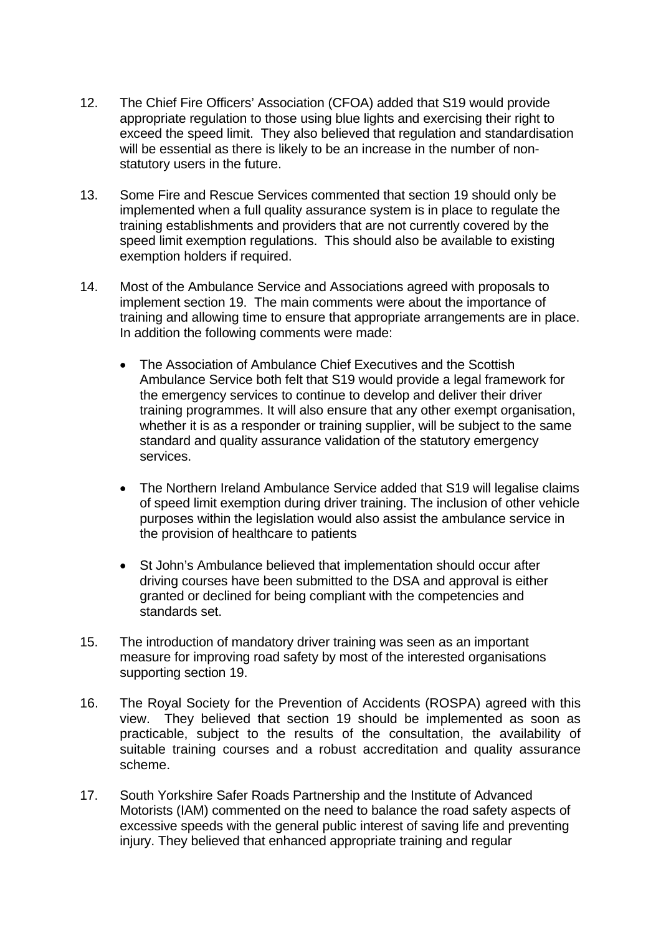- 12. The Chief Fire Officers' Association (CFOA) added that S19 would provide appropriate regulation to those using blue lights and exercising their right to exceed the speed limit. They also believed that regulation and standardisation will be essential as there is likely to be an increase in the number of nonstatutory users in the future.
- 13. Some Fire and Rescue Services commented that section 19 should only be implemented when a full quality assurance system is in place to regulate the training establishments and providers that are not currently covered by the speed limit exemption regulations. This should also be available to existing exemption holders if required.
- 14. Most of the Ambulance Service and Associations agreed with proposals to implement section 19. The main comments were about the importance of training and allowing time to ensure that appropriate arrangements are in place. In addition the following comments were made:
	- The Association of Ambulance Chief Executives and the Scottish Ambulance Service both felt that S19 would provide a legal framework for the emergency services to continue to develop and deliver their driver training programmes. It will also ensure that any other exempt organisation, whether it is as a responder or training supplier, will be subject to the same standard and quality assurance validation of the statutory emergency services.
	- The Northern Ireland Ambulance Service added that S19 will legalise claims of speed limit exemption during driver training. The inclusion of other vehicle purposes within the legislation would also assist the ambulance service in the provision of healthcare to patients
	- St John's Ambulance believed that implementation should occur after driving courses have been submitted to the DSA and approval is either granted or declined for being compliant with the competencies and standards set.
- 15. The introduction of mandatory driver training was seen as an important measure for improving road safety by most of the interested organisations supporting section 19.
- 16. The Royal Society for the Prevention of Accidents (ROSPA) agreed with this view. They believed that section 19 should be implemented as soon as practicable, subject to the results of the consultation, the availability of suitable training courses and a robust accreditation and quality assurance scheme.
- 17. South Yorkshire Safer Roads Partnership and the Institute of Advanced Motorists (IAM) commented on the need to balance the road safety aspects of excessive speeds with the general public interest of saving life and preventing injury. They believed that enhanced appropriate training and regular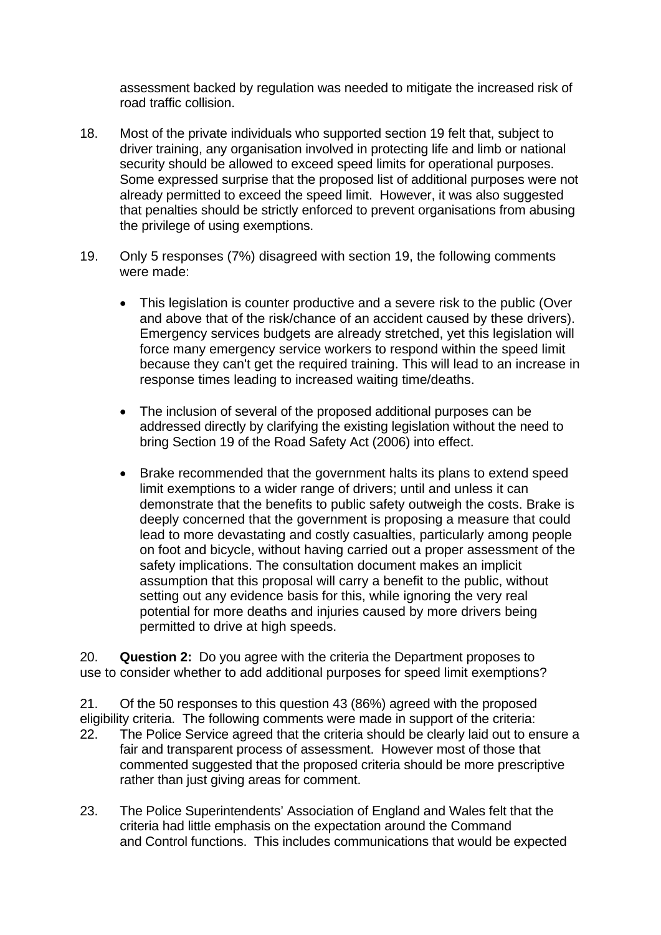assessment backed by regulation was needed to mitigate the increased risk of road traffic collision.

- 18. Most of the private individuals who supported section 19 felt that, subject to driver training, any organisation involved in protecting life and limb or national security should be allowed to exceed speed limits for operational purposes. Some expressed surprise that the proposed list of additional purposes were not already permitted to exceed the speed limit. However, it was also suggested that penalties should be strictly enforced to prevent organisations from abusing the privilege of using exemptions.
- 19. Only 5 responses (7%) disagreed with section 19, the following comments were made:
	- This legislation is counter productive and a severe risk to the public (Over and above that of the risk/chance of an accident caused by these drivers). Emergency services budgets are already stretched, yet this legislation will force many emergency service workers to respond within the speed limit because they can't get the required training. This will lead to an increase in response times leading to increased waiting time/deaths.
	- The inclusion of several of the proposed additional purposes can be addressed directly by clarifying the existing legislation without the need to bring Section 19 of the Road Safety Act (2006) into effect.
	- permitted to drive at high speeds. • Brake recommended that the government halts its plans to extend speed limit exemptions to a wider range of drivers; until and unless it can demonstrate that the benefits to public safety outweigh the costs. Brake is deeply concerned that the government is proposing a measure that could lead to more devastating and costly casualties, particularly among people on foot and bicycle, without having carried out a proper assessment of the safety implications. The consultation document makes an implicit assumption that this proposal will carry a benefit to the public, without setting out any evidence basis for this, while ignoring the very real potential for more deaths and injuries caused by more drivers being

20. **Question 2:** Do you agree with the criteria the Department proposes to use to consider whether to add additional purposes for speed limit exemptions?

21. Of the 50 responses to this question 43 (86%) agreed with the proposed eligibility criteria. The following comments were made in support of the criteria:

- 22. The Police Service agreed that the criteria should be clearly laid out to ensure a fair and transparent process of assessment. However most of those that commented suggested that the proposed criteria should be more prescriptive rather than just giving areas for comment.
- 23. The Police Superintendents' Association of England and Wales felt that the criteria had little emphasis on the expectation around the Command and Control functions. This includes communications that would be expected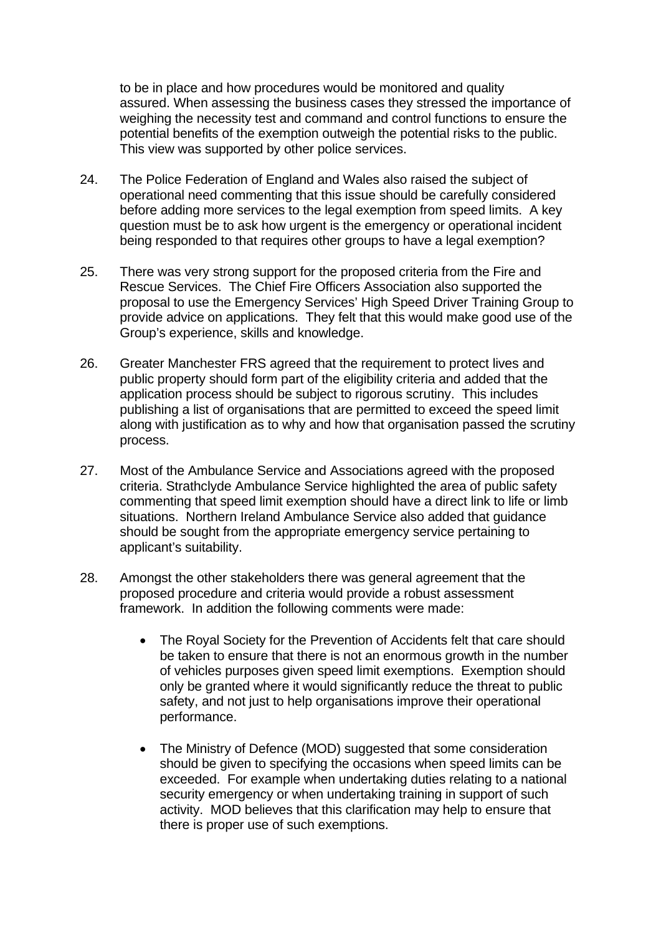to be in place and how procedures would be monitored and quality assured. When assessing the business cases they stressed the importance of weighing the necessity test and command and control functions to ensure the potential benefits of the exemption outweigh the potential risks to the public. This view was supported by other police services.

- 24. The Police Federation of England and Wales also raised the subject of operational need commenting that this issue should be carefully considered before adding more services to the legal exemption from speed limits. A key question must be to ask how urgent is the emergency or operational incident being responded to that requires other groups to have a legal exemption?
- 25. There was very strong support for the proposed criteria from the Fire and Rescue Services. The Chief Fire Officers Association also supported the proposal to use the Emergency Services' High Speed Driver Training Group to provide advice on applications. They felt that this would make good use of the Group's experience, skills and knowledge.
- 26. Greater Manchester FRS agreed that the requirement to protect lives and public property should form part of the eligibility criteria and added that the application process should be subject to rigorous scrutiny. This includes publishing a list of organisations that are permitted to exceed the speed limit along with justification as to why and how that organisation passed the scrutiny process.
- 27. Most of the Ambulance Service and Associations agreed with the proposed criteria. Strathclyde Ambulance Service highlighted the area of public safety commenting that speed limit exemption should have a direct link to life or limb situations. Northern Ireland Ambulance Service also added that guidance should be sought from the appropriate emergency service pertaining to applicant's suitability.
- 28. Amongst the other stakeholders there was general agreement that the proposed procedure and criteria would provide a robust assessment framework. In addition the following comments were made:
	- The Royal Society for the Prevention of Accidents felt that care should be taken to ensure that there is not an enormous growth in the number of vehicles purposes given speed limit exemptions. Exemption should only be granted where it would significantly reduce the threat to public safety, and not just to help organisations improve their operational performance.
	- The Ministry of Defence (MOD) suggested that some consideration should be given to specifying the occasions when speed limits can be exceeded. For example when undertaking duties relating to a national security emergency or when undertaking training in support of such activity. MOD believes that this clarification may help to ensure that there is proper use of such exemptions.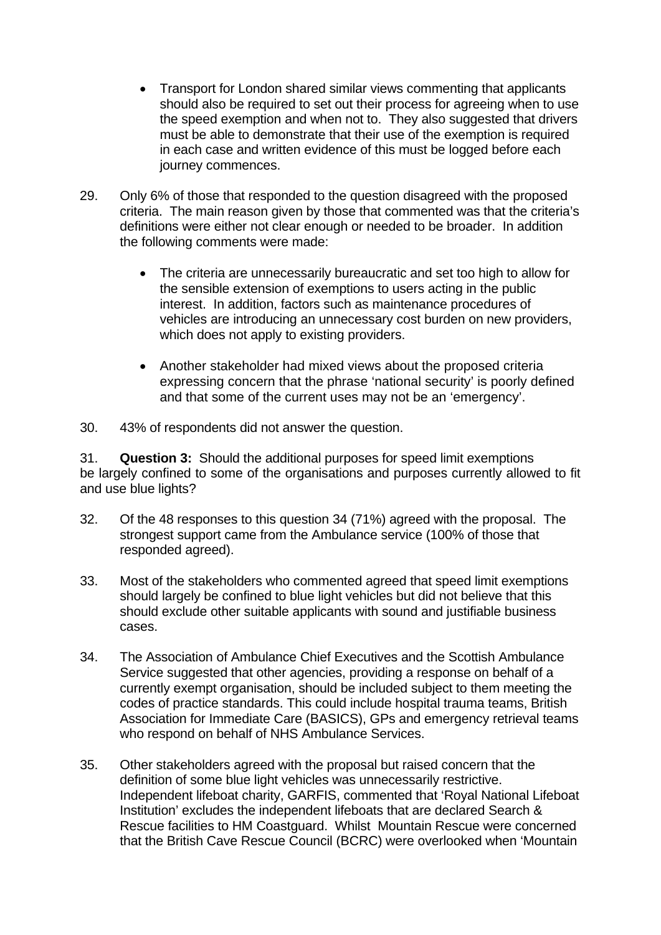- Transport for London shared similar views commenting that applicants should also be required to set out their process for agreeing when to use the speed exemption and when not to. They also suggested that drivers must be able to demonstrate that their use of the exemption is required in each case and written evidence of this must be logged before each journey commences.
- 29. Only 6% of those that responded to the question disagreed with the proposed criteria. The main reason given by those that commented was that the criteria's definitions were either not clear enough or needed to be broader. In addition the following comments were made:
	- The criteria are unnecessarily bureaucratic and set too high to allow for the sensible extension of exemptions to users acting in the public interest. In addition, factors such as maintenance procedures of vehicles are introducing an unnecessary cost burden on new providers, which does not apply to existing providers.
	- Another stakeholder had mixed views about the proposed criteria expressing concern that the phrase 'national security' is poorly defined and that some of the current uses may not be an 'emergency'.
- 30. 43% of respondents did not answer the question.

31. **Question 3:** Should the additional purposes for speed limit exemptions be largely confined to some of the organisations and purposes currently allowed to fit and use blue lights?

- 32. Of the 48 responses to this question 34 (71%) agreed with the proposal. The strongest support came from the Ambulance service (100% of those that responded agreed).
- 33. Most of the stakeholders who commented agreed that speed limit exemptions should largely be confined to blue light vehicles but did not believe that this should exclude other suitable applicants with sound and justifiable business cases.
- 34. The Association of Ambulance Chief Executives and the Scottish Ambulance Service suggested that other agencies, providing a response on behalf of a currently exempt organisation, should be included subject to them meeting the codes of practice standards. This could include hospital trauma teams, British Association for Immediate Care (BASICS), GPs and emergency retrieval teams who respond on behalf of NHS Ambulance Services.
- 35. Other stakeholders agreed with the proposal but raised concern that the definition of some blue light vehicles was unnecessarily restrictive. Independent lifeboat charity, GARFIS, commented that 'Royal National Lifeboat Institution' excludes the independent lifeboats that are declared Search & Rescue facilities to HM Coastguard. Whilst Mountain Rescue were concerned that the British Cave Rescue Council (BCRC) were overlooked when 'Mountain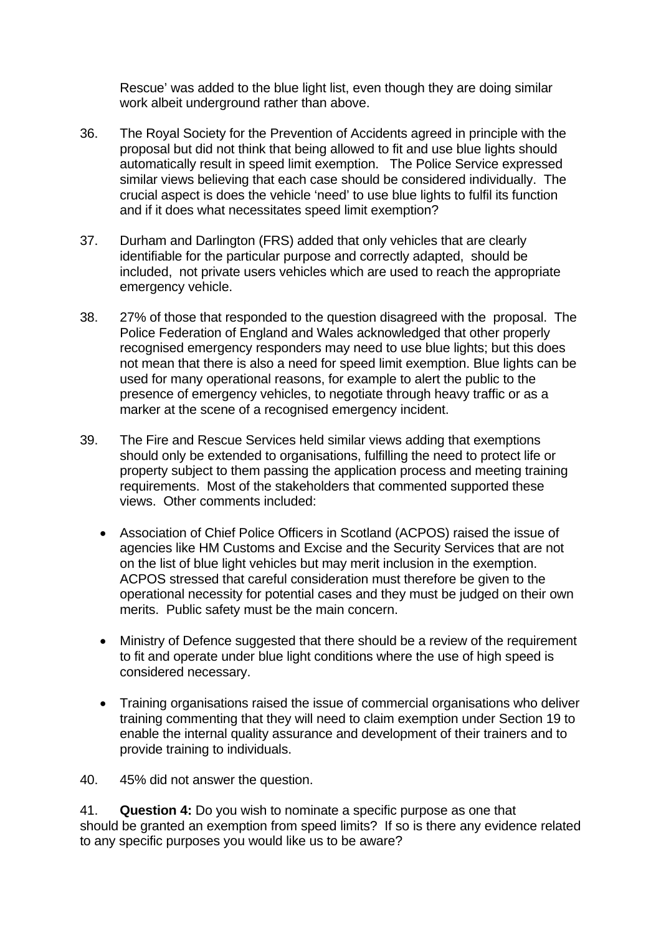Rescue' was added to the blue light list, even though they are doing similar work albeit underground rather than above.

- 36. The Royal Society for the Prevention of Accidents agreed in principle with the proposal but did not think that being allowed to fit and use blue lights should automatically result in speed limit exemption. The Police Service expressed similar views believing that each case should be considered individually. The crucial aspect is does the vehicle 'need' to use blue lights to fulfil its function and if it does what necessitates speed limit exemption?
- 37. Durham and Darlington (FRS) added that only vehicles that are clearly identifiable for the particular purpose and correctly adapted, should be included, not private users vehicles which are used to reach the appropriate emergency vehicle.
- 38. 27% of those that responded to the question disagreed with the proposal. The Police Federation of England and Wales acknowledged that other properly recognised emergency responders may need to use blue lights; but this does not mean that there is also a need for speed limit exemption. Blue lights can be used for many operational reasons, for example to alert the public to the presence of emergency vehicles, to negotiate through heavy traffic or as a marker at the scene of a recognised emergency incident.
- 39. The Fire and Rescue Services held similar views adding that exemptions should only be extended to organisations, fulfilling the need to protect life or property subject to them passing the application process and meeting training requirements. Most of the stakeholders that commented supported these views. Other comments included:
	- Association of Chief Police Officers in Scotland (ACPOS) raised the issue of agencies like HM Customs and Excise and the Security Services that are not on the list of blue light vehicles but may merit inclusion in the exemption. ACPOS stressed that careful consideration must therefore be given to the operational necessity for potential cases and they must be judged on their own merits. Public safety must be the main concern.
	- Ministry of Defence suggested that there should be a review of the requirement to fit and operate under blue light conditions where the use of high speed is considered necessary.
	- Training organisations raised the issue of commercial organisations who deliver training commenting that they will need to claim exemption under Section 19 to enable the internal quality assurance and development of their trainers and to provide training to individuals.

40. 45% did not answer the question.

**Question 4:** Do you wish to nominate a specific purpose as one that 41. **Question 4:** Do you wish to nominate a specific purpose as one that should be granted an exemption from speed limits? If so is there any evidence related to any specific purposes you would like us to be aware?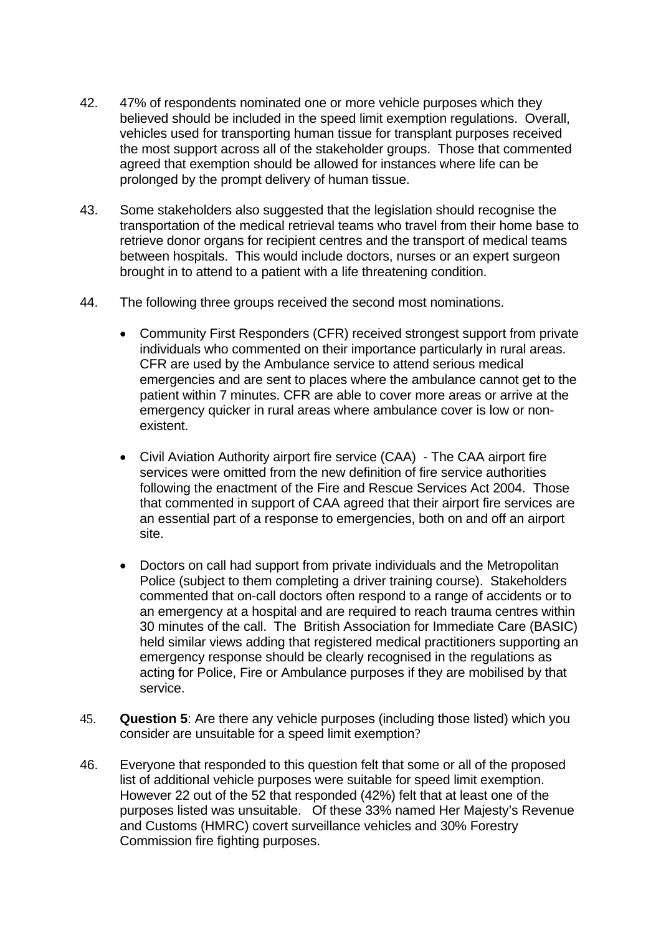- 42. 47% of respondents nominated one or more vehicle purposes which they believed should be included in the speed limit exemption regulations. Overall, vehicles used for transporting human tissue for transplant purposes received the most support across all of the stakeholder groups. Those that commented agreed that exemption should be allowed for instances where life can be prolonged by the prompt delivery of human tissue.
- 43. Some stakeholders also suggested that the legislation should recognise the transportation of the medical retrieval teams who travel from their home base to retrieve donor organs for recipient centres and the transport of medical teams between hospitals. This would include doctors, nurses or an expert surgeon brought in to attend to a patient with a life threatening condition.
- 44. The following three groups received the second most nominations.
	- Community First Responders (CFR) received strongest support from private individuals who commented on their importance particularly in rural areas. CFR are used by the Ambulance service to attend serious medical emergencies and are sent to places where the ambulance cannot get to the patient within 7 minutes. CFR are able to cover more areas or arrive at the emergency quicker in rural areas where ambulance cover is low or nonexistent.
	- Civil Aviation Authority airport fire service (CAA) The CAA airport fire services were omitted from the new definition of fire service authorities following the enactment of the Fire and Rescue Services Act 2004. Those that commented in support of CAA agreed that their airport fire services are an essential part of a response to emergencies, both on and off an airport site.
	- Doctors on call had support from private individuals and the Metropolitan Police (subject to them completing a driver training course). Stakeholders commented that on-call doctors often respond to a range of accidents or to an emergency at a hospital and are required to reach trauma centres within 30 minutes of the call. The British Association for Immediate Care (BASIC) held similar views adding that registered medical practitioners supporting an emergency response should be clearly recognised in the regulations as acting for Police, Fire or Ambulance purposes if they are mobilised by that service.
- 45. **Question 5**: Are there any vehicle purposes (including those listed) which you consider are unsuitable for a speed limit exemption?
- 46. Everyone that responded to this question felt that some or all of the proposed list of additional vehicle purposes were suitable for speed limit exemption. However 22 out of the 52 that responded (42%) felt that at least one of the purposes listed was unsuitable. Of these 33% named Her Majesty's Revenue and Customs (HMRC) covert surveillance vehicles and 30% Forestry Commission fire fighting purposes.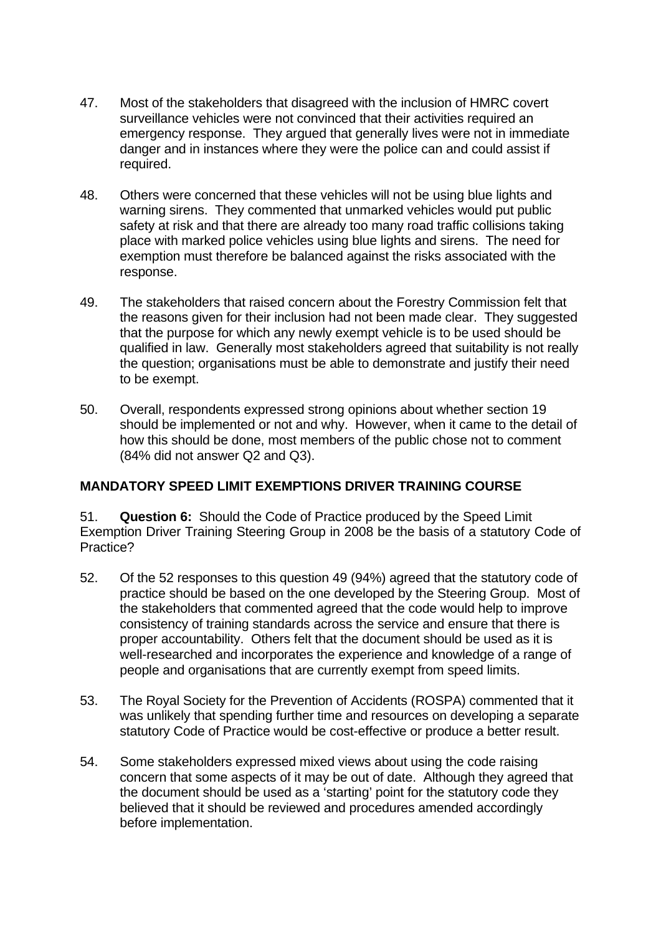- 47. Most of the stakeholders that disagreed with the inclusion of HMRC covert surveillance vehicles were not convinced that their activities required an emergency response. They argued that generally lives were not in immediate danger and in instances where they were the police can and could assist if required.
- 48. Others were concerned that these vehicles will not be using blue lights and warning sirens. They commented that unmarked vehicles would put public safety at risk and that there are already too many road traffic collisions taking place with marked police vehicles using blue lights and sirens. The need for exemption must therefore be balanced against the risks associated with the response.
- 49. The stakeholders that raised concern about the Forestry Commission felt that the reasons given for their inclusion had not been made clear. They suggested that the purpose for which any newly exempt vehicle is to be used should be qualified in law. Generally most stakeholders agreed that suitability is not really the question; organisations must be able to demonstrate and justify their need to be exempt.
- 50. Overall, respondents expressed strong opinions about whether section 19 should be implemented or not and why. However, when it came to the detail of how this should be done, most members of the public chose not to comment (84% did not answer Q2 and Q3).

# **MANDATORY SPEED LIMIT EXEMPTIONS DRIVER TRAINING COURSE**

51. **Question 6:** Should the Code of Practice produced by the Speed Limit Exemption Driver Training Steering Group in 2008 be the basis of a statutory Code of Practice?

- 52. Of the 52 responses to this question 49 (94%) agreed that the statutory code of practice should be based on the one developed by the Steering Group. Most of the stakeholders that commented agreed that the code would help to improve consistency of training standards across the service and ensure that there is proper accountability. Others felt that the document should be used as it is well-researched and incorporates the experience and knowledge of a range of people and organisations that are currently exempt from speed limits.
- 53. The Royal Society for the Prevention of Accidents (ROSPA) commented that it was unlikely that spending further time and resources on developing a separate statutory Code of Practice would be cost-effective or produce a better result.
- 54. Some stakeholders expressed mixed views about using the code raising concern that some aspects of it may be out of date. Although they agreed that the document should be used as a 'starting' point for the statutory code they believed that it should be reviewed and procedures amended accordingly before implementation.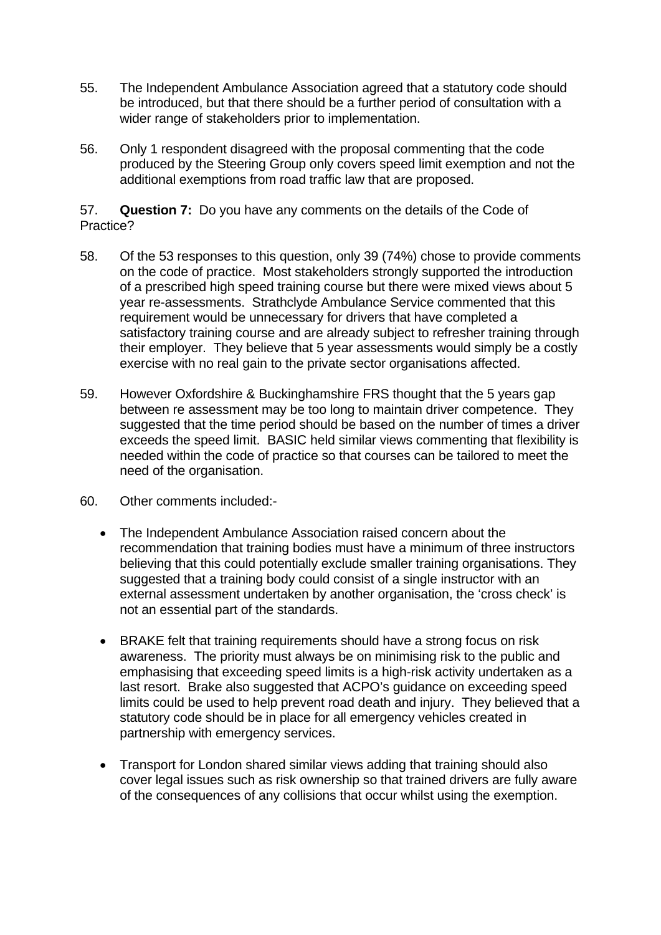- 55. The Independent Ambulance Association agreed that a statutory code should be introduced, but that there should be a further period of consultation with a wider range of stakeholders prior to implementation.
- 56. Only 1 respondent disagreed with the proposal commenting that the code produced by the Steering Group only covers speed limit exemption and not the additional exemptions from road traffic law that are proposed.

57. **Question 7:** Do you have any comments on the details of the Code of Practice?

- 58. Of the 53 responses to this question, only 39 (74%) chose to provide comments on the code of practice. Most stakeholders strongly supported the introduction of a prescribed high speed training course but there were mixed views about 5 year re-assessments. Strathclyde Ambulance Service commented that this requirement would be unnecessary for drivers that have completed a satisfactory training course and are already subject to refresher training through their employer. They believe that 5 year assessments would simply be a costly exercise with no real gain to the private sector organisations affected.
- 59. However Oxfordshire & Buckinghamshire FRS thought that the 5 years gap between re assessment may be too long to maintain driver competence. They suggested that the time period should be based on the number of times a driver exceeds the speed limit. BASIC held similar views commenting that flexibility is needed within the code of practice so that courses can be tailored to meet the need of the organisation.
- 60. Other comments included:-
	- The Independent Ambulance Association raised concern about the recommendation that training bodies must have a minimum of three instructors believing that this could potentially exclude smaller training organisations. They suggested that a training body could consist of a single instructor with an external assessment undertaken by another organisation, the 'cross check' is not an essential part of the standards.
	- BRAKE felt that training requirements should have a strong focus on risk awareness. The priority must always be on minimising risk to the public and emphasising that exceeding speed limits is a high-risk activity undertaken as a last resort. Brake also suggested that ACPO's guidance on exceeding speed limits could be used to help prevent road death and injury. They believed that a statutory code should be in place for all emergency vehicles created in partnership with emergency services.
	- Transport for London shared similar views adding that training should also cover legal issues such as risk ownership so that trained drivers are fully aware of the consequences of any collisions that occur whilst using the exemption.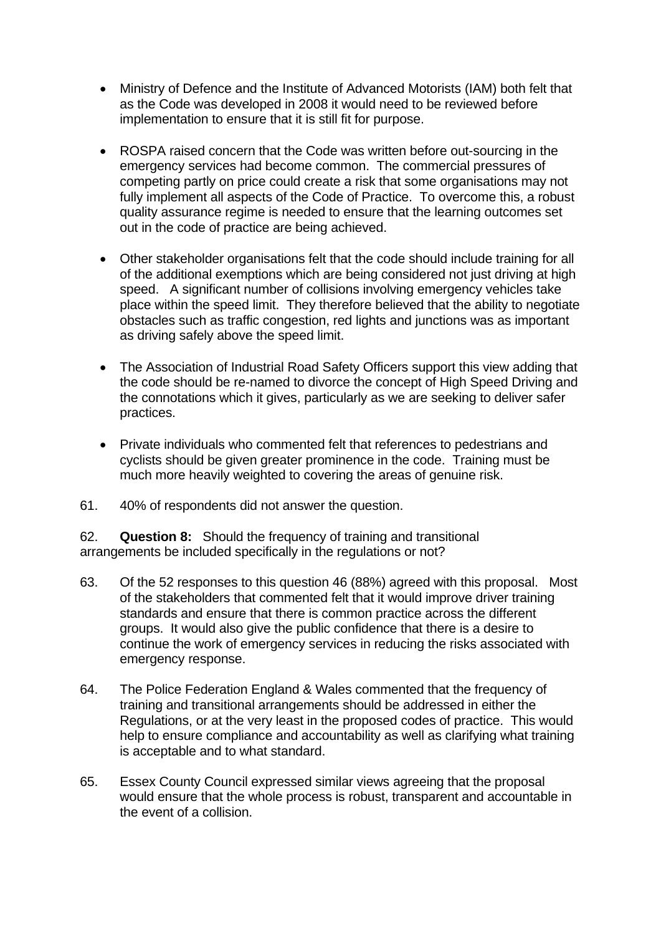- Ministry of Defence and the Institute of Advanced Motorists (IAM) both felt that as the Code was developed in 2008 it would need to be reviewed before implementation to ensure that it is still fit for purpose.
- ROSPA raised concern that the Code was written before out-sourcing in the emergency services had become common. The commercial pressures of competing partly on price could create a risk that some organisations may not fully implement all aspects of the Code of Practice. To overcome this, a robust quality assurance regime is needed to ensure that the learning outcomes set out in the code of practice are being achieved.
- Other stakeholder organisations felt that the code should include training for all of the additional exemptions which are being considered not just driving at high speed. A significant number of collisions involving emergency vehicles take place within the speed limit. They therefore believed that the ability to negotiate obstacles such as traffic congestion, red lights and junctions was as important as driving safely above the speed limit.
- The Association of Industrial Road Safety Officers support this view adding that the code should be re-named to divorce the concept of High Speed Driving and the connotations which it gives, particularly as we are seeking to deliver safer practices.
- Private individuals who commented felt that references to pedestrians and cyclists should be given greater prominence in the code. Training must be much more heavily weighted to covering the areas of genuine risk.
- 61. 40% of respondents did not answer the question.

**Question 8:** Should the frequency of training and transitional 62. **Question 8:** Should the frequency of training and transitional arrangements be included specifically in the regulations or not?

- 63. Of the 52 responses to this question 46 (88%) agreed with this proposal. Most of the stakeholders that commented felt that it would improve driver training standards and ensure that there is common practice across the different groups. It would also give the public confidence that there is a desire to continue the work of emergency services in reducing the risks associated with emergency response.
- 64. The Police Federation England & Wales commented that the frequency of training and transitional arrangements should be addressed in either the Regulations, or at the very least in the proposed codes of practice. This would help to ensure compliance and accountability as well as clarifying what training is acceptable and to what standard.
- the event of a collision. 65. Essex County Council expressed similar views agreeing that the proposal would ensure that the whole process is robust, transparent and accountable in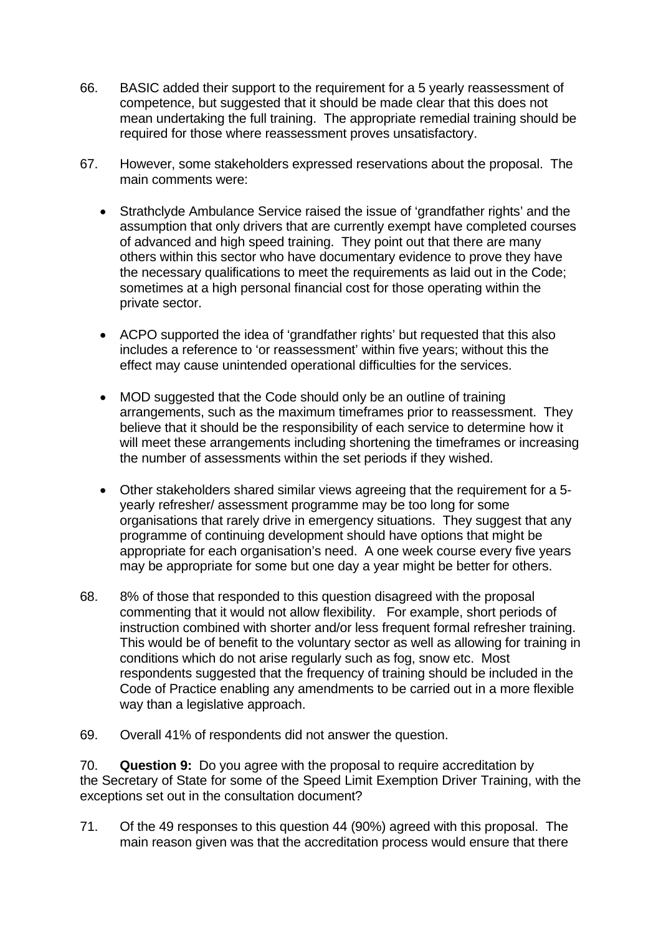- 66. BASIC added their support to the requirement for a 5 yearly reassessment of competence, but suggested that it should be made clear that this does not mean undertaking the full training. The appropriate remedial training should be required for those where reassessment proves unsatisfactory.
- 67. However, some stakeholders expressed reservations about the proposal. The main comments were:
	- Strathclyde Ambulance Service raised the issue of 'grandfather rights' and the assumption that only drivers that are currently exempt have completed courses of advanced and high speed training. They point out that there are many others within this sector who have documentary evidence to prove they have the necessary qualifications to meet the requirements as laid out in the Code; sometimes at a high personal financial cost for those operating within the private sector.
	- ACPO supported the idea of 'grandfather rights' but requested that this also includes a reference to 'or reassessment' within five years; without this the effect may cause unintended operational difficulties for the services.
	- MOD suggested that the Code should only be an outline of training arrangements, such as the maximum timeframes prior to reassessment. They believe that it should be the responsibility of each service to determine how it will meet these arrangements including shortening the timeframes or increasing the number of assessments within the set periods if they wished.
	- Other stakeholders shared similar views agreeing that the requirement for a 5 yearly refresher/ assessment programme may be too long for some organisations that rarely drive in emergency situations. They suggest that any programme of continuing development should have options that might be appropriate for each organisation's need. A one week course every five years may be appropriate for some but one day a year might be better for others.
- 68. 8% of those that responded to this question disagreed with the proposal commenting that it would not allow flexibility. For example, short periods of instruction combined with shorter and/or less frequent formal refresher training. This would be of benefit to the voluntary sector as well as allowing for training in conditions which do not arise regularly such as fog, snow etc. Most respondents suggested that the frequency of training should be included in the Code of Practice enabling any amendments to be carried out in a more flexible way than a legislative approach.
- 69. Overall 41% of respondents did not answer the question.

70. **Question 9:** Do you agree with the proposal to require accreditation by the Secretary of State for some of the Speed Limit Exemption Driver Training, with the exceptions set out in the consultation document?

71. Of the 49 responses to this question 44 (90%) agreed with this proposal. The main reason given was that the accreditation process would ensure that there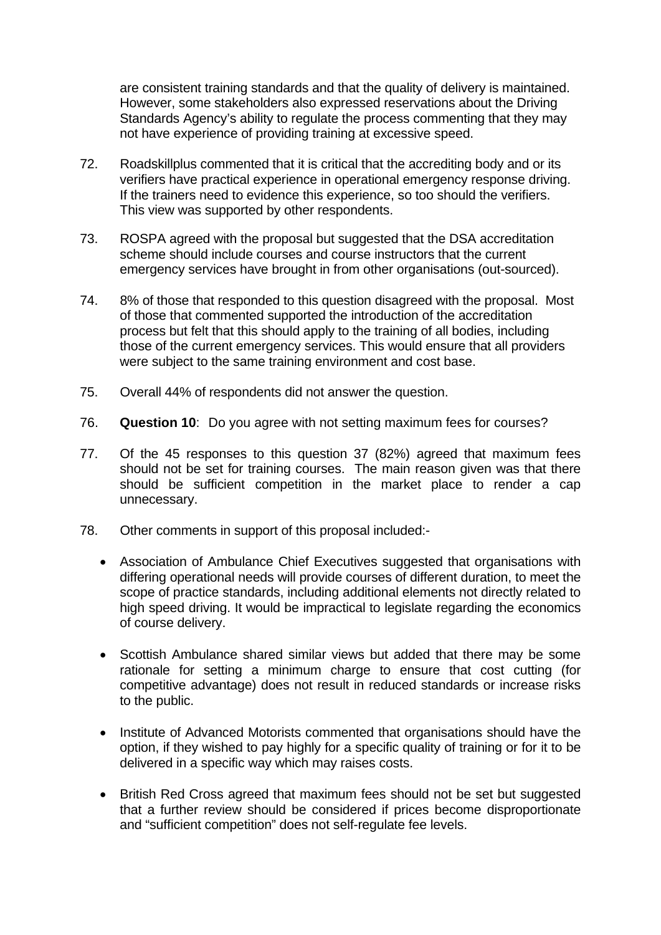are consistent training standards and that the quality of delivery is maintained. However, some stakeholders also expressed reservations about the Driving Standards Agency's ability to regulate the process commenting that they may not have experience of providing training at excessive speed.

- 72. Roadskillplus commented that it is critical that the accrediting body and or its verifiers have practical experience in operational emergency response driving. If the trainers need to evidence this experience, so too should the verifiers. This view was supported by other respondents.
- 73. ROSPA agreed with the proposal but suggested that the DSA accreditation scheme should include courses and course instructors that the current emergency services have brought in from other organisations (out-sourced).
- 74. 8% of those that responded to this question disagreed with the proposal. Most of those that commented supported the introduction of the accreditation process but felt that this should apply to the training of all bodies, including those of the current emergency services. This would ensure that all providers were subject to the same training environment and cost base.
- 75. Overall 44% of respondents did not answer the question.
- 76. **Question 10**: Do you agree with not setting maximum fees for courses?
- 77. Of the 45 responses to this question 37 (82%) agreed that maximum fees should not be set for training courses. The main reason given was that there should be sufficient competition in the market place to render a cap unnecessary.
- 78. Other comments in support of this proposal included:-
	- Association of Ambulance Chief Executives suggested that organisations with differing operational needs will provide courses of different duration, to meet the scope of practice standards, including additional elements not directly related to high speed driving. It would be impractical to legislate regarding the economics of course delivery.
	- Scottish Ambulance shared similar views but added that there may be some rationale for setting a minimum charge to ensure that cost cutting (for competitive advantage) does not result in reduced standards or increase risks to the public.
	- Institute of Advanced Motorists commented that organisations should have the option, if they wished to pay highly for a specific quality of training or for it to be delivered in a specific way which may raises costs.
	- British Red Cross agreed that maximum fees should not be set but suggested that a further review should be considered if prices become disproportionate and "sufficient competition" does not self-regulate fee levels.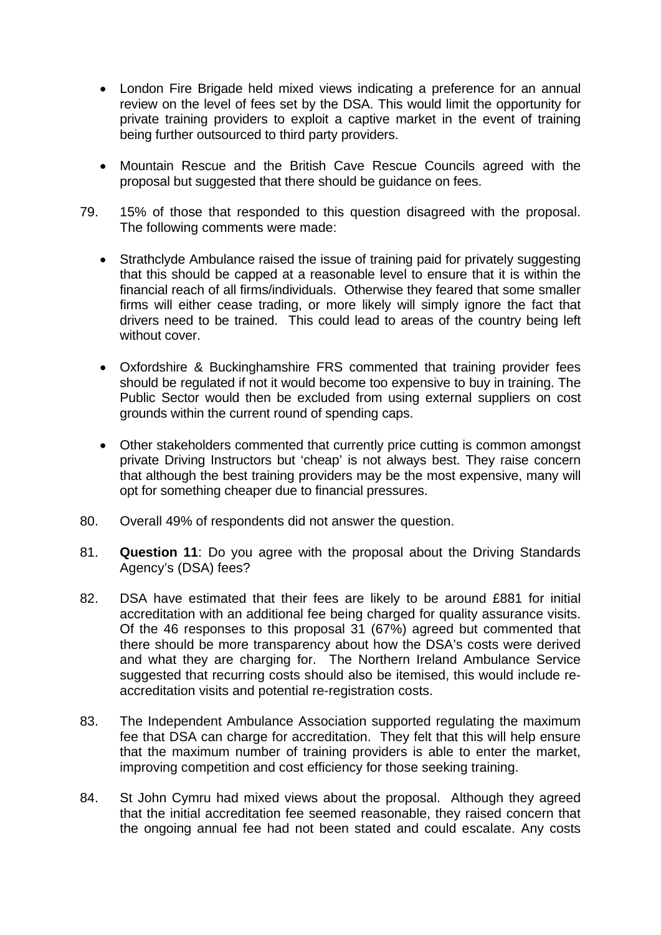- London Fire Brigade held mixed views indicating a preference for an annual review on the level of fees set by the DSA. This would limit the opportunity for private training providers to exploit a captive market in the event of training being further outsourced to third party providers.
- Mountain Rescue and the British Cave Rescue Councils agreed with the proposal but suggested that there should be guidance on fees.
- 79. 15% of those that responded to this question disagreed with the proposal. The following comments were made:
	- Strathclyde Ambulance raised the issue of training paid for privately suggesting that this should be capped at a reasonable level to ensure that it is within the financial reach of all firms/individuals. Otherwise they feared that some smaller firms will either cease trading, or more likely will simply ignore the fact that drivers need to be trained. This could lead to areas of the country being left without cover.
	- Oxfordshire & Buckinghamshire FRS commented that training provider fees should be regulated if not it would become too expensive to buy in training. The Public Sector would then be excluded from using external suppliers on cost grounds within the current round of spending caps.
	- Other stakeholders commented that currently price cutting is common amongst private Driving Instructors but 'cheap' is not always best. They raise concern that although the best training providers may be the most expensive, many will opt for something cheaper due to financial pressures.
- 80. Overall 49% of respondents did not answer the question.
- 81. **Question 11**: Do you agree with the proposal about the Driving Standards Agency's (DSA) fees?
- 82. DSA have estimated that their fees are likely to be around £881 for initial accreditation with an additional fee being charged for quality assurance visits. Of the 46 responses to this proposal 31 (67%) agreed but commented that there should be more transparency about how the DSA's costs were derived and what they are charging for. The Northern Ireland Ambulance Service suggested that recurring costs should also be itemised, this would include reaccreditation visits and potential re-registration costs.
- 83. The Independent Ambulance Association supported regulating the maximum fee that DSA can charge for accreditation. They felt that this will help ensure that the maximum number of training providers is able to enter the market, improving competition and cost efficiency for those seeking training.
- 84. St John Cymru had mixed views about the proposal. Although they agreed that the initial accreditation fee seemed reasonable, they raised concern that the ongoing annual fee had not been stated and could escalate. Any costs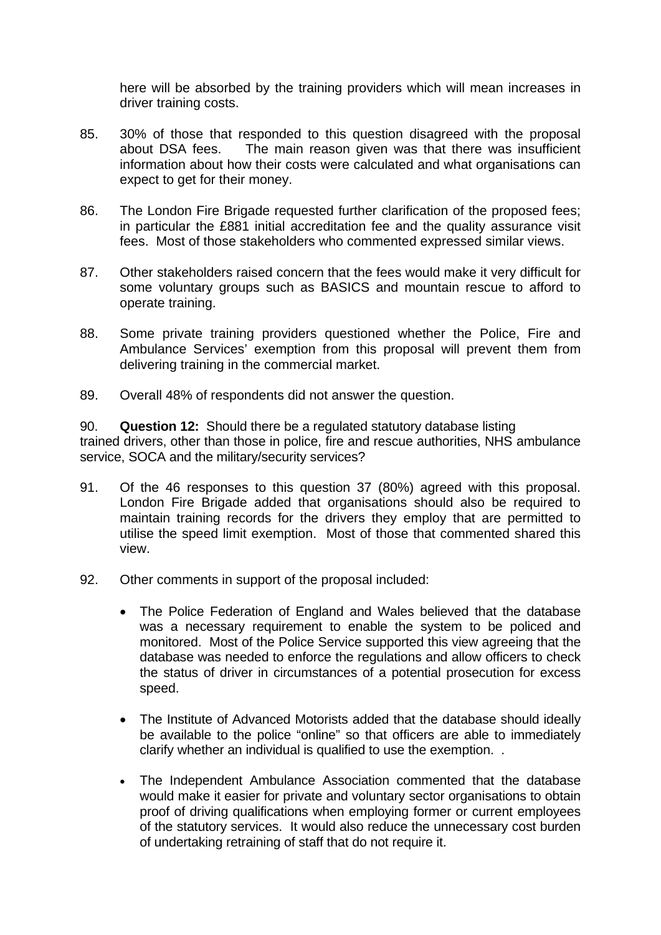here will be absorbed by the training providers which will mean increases in driver training costs.

- 85. 30% of those that responded to this question disagreed with the proposal about DSA fees. The main reason given was that there was insufficient information about how their costs were calculated and what organisations can expect to get for their money.
- 86. The London Fire Brigade requested further clarification of the proposed fees; in particular the £881 initial accreditation fee and the quality assurance visit fees. Most of those stakeholders who commented expressed similar views.
- 87. Other stakeholders raised concern that the fees would make it very difficult for some voluntary groups such as BASICS and mountain rescue to afford to operate training.
- 88. Some private training providers questioned whether the Police, Fire and Ambulance Services' exemption from this proposal will prevent them from delivering training in the commercial market.
- 89. Overall 48% of respondents did not answer the question.

90. **Question 12:** Should there be a regulated statutory database listing trained drivers, other than those in police, fire and rescue authorities, NHS ambulance service, SOCA and the military/security services?

- 91. Of the 46 responses to this question 37 (80%) agreed with this proposal. London Fire Brigade added that organisations should also be required to maintain training records for the drivers they employ that are permitted to utilise the speed limit exemption. Most of those that commented shared this view.
- 92. Other comments in support of the proposal included:
	- The Police Federation of England and Wales believed that the database was a necessary requirement to enable the system to be policed and monitored. Most of the Police Service supported this view agreeing that the database was needed to enforce the regulations and allow officers to check the status of driver in circumstances of a potential prosecution for excess speed.
	- The Institute of Advanced Motorists added that the database should ideally be available to the police "online" so that officers are able to immediately clarify whether an individual is qualified to use the exemption. .
	- The Independent Ambulance Association commented that the database would make it easier for private and voluntary sector organisations to obtain proof of driving qualifications when employing former or current employees of the statutory services. It would also reduce the unnecessary cost burden of undertaking retraining of staff that do not require it.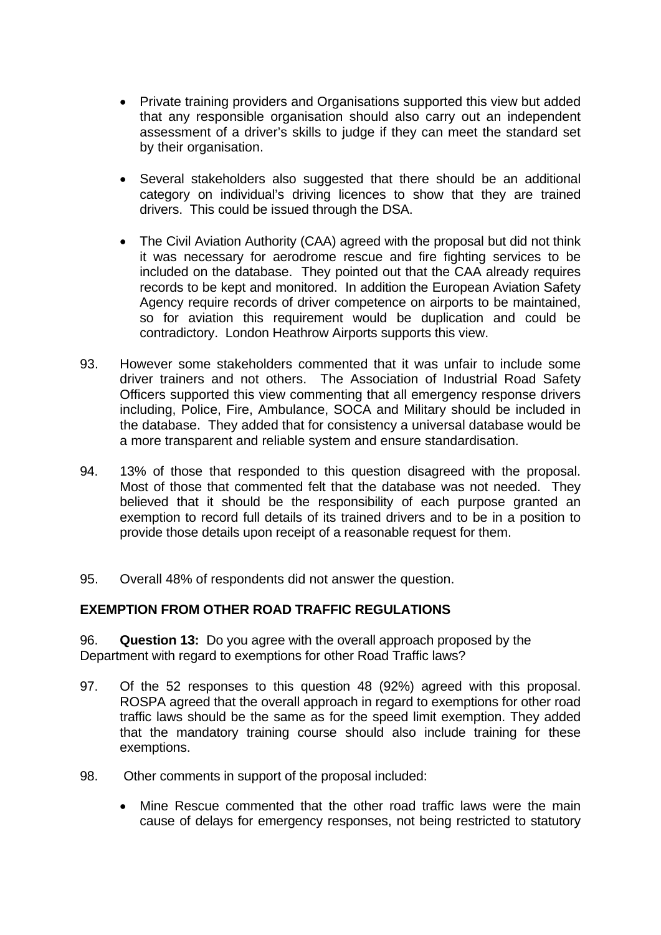- Private training providers and Organisations supported this view but added that any responsible organisation should also carry out an independent assessment of a driver's skills to judge if they can meet the standard set by their organisation.
- Several stakeholders also suggested that there should be an additional category on individual's driving licences to show that they are trained drivers. This could be issued through the DSA.
- The Civil Aviation Authority (CAA) agreed with the proposal but did not think it was necessary for aerodrome rescue and fire fighting services to be included on the database. They pointed out that the CAA already requires records to be kept and monitored. In addition the European Aviation Safety Agency require records of driver competence on airports to be maintained, so for aviation this requirement would be duplication and could be contradictory. London Heathrow Airports supports this view.
- 93. However some stakeholders commented that it was unfair to include some driver trainers and not others. The Association of Industrial Road Safety Officers supported this view commenting that all emergency response drivers including, Police, Fire, Ambulance, SOCA and Military should be included in the database. They added that for consistency a universal database would be a more transparent and reliable system and ensure standardisation.
- 13% of those that responded to this question disagreed with the proposal. 94. 13% of those that responded to this question disagreed with the proposal. Most of those that commented felt that the database was not needed. They believed that it should be the responsibility of each purpose granted an exemption to record full details of its trained drivers and to be in a position to provide those details upon receipt of a reasonable request for them.
- 95. Overall 48% of respondents did not answer the question.

### **EXEMPTION FROM OTHER ROAD TRAFFIC REGULATIONS**

96. **Question 13:** Do you agree with the overall approach proposed by the Department with regard to exemptions for other Road Traffic laws?

- 97. Of the 52 responses to this question 48 (92%) agreed with this proposal. ROSPA agreed that the overall approach in regard to exemptions for other road traffic laws should be the same as for the speed limit exemption. They added that the mandatory training course should also include training for these exemptions.
- 98. Other comments in support of the proposal included:
	- Mine Rescue commented that the other road traffic laws were the main cause of delays for emergency responses, not being restricted to statutory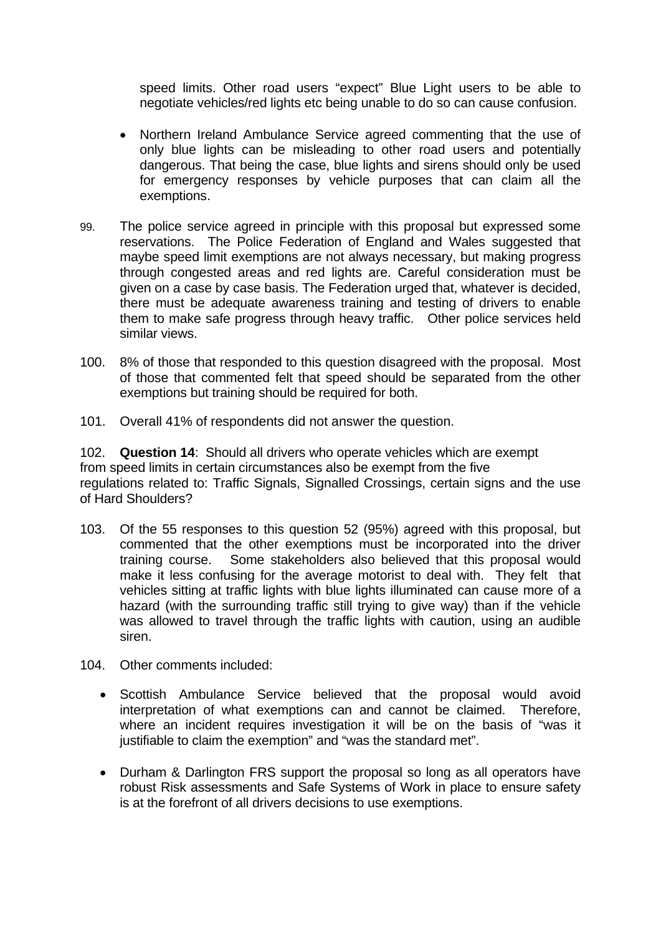speed limits. Other road users "expect" Blue Light users to be able to negotiate vehicles/red lights etc being unable to do so can cause confusion.

- Northern Ireland Ambulance Service agreed commenting that the use of only blue lights can be misleading to other road users and potentially dangerous. That being the case, blue lights and sirens should only be used for emergency responses by vehicle purposes that can claim all the exemptions.
- 99. The police service agreed in principle with this proposal but expressed some reservations. The Police Federation of England and Wales suggested that maybe speed limit exemptions are not always necessary, but making progress through congested areas and red lights are. Careful consideration must be given on a case by case basis. The Federation urged that, whatever is decided, there must be adequate awareness training and testing of drivers to enable them to make safe progress through heavy traffic. Other police services held similar views.
- 100. 8% of those that responded to this question disagreed with the proposal. Most of those that commented felt that speed should be separated from the other exemptions but training should be required for both.
- 101. Overall 41% of respondents did not answer the question.

 102. **Question 14**: Should all drivers who operate vehicles which are exempt from speed limits in certain circumstances also be exempt from the five regulations related to: Traffic Signals, Signalled Crossings, certain signs and the use of Hard Shoulders?

- 103. Of the 55 responses to this question 52 (95%) agreed with this proposal, but commented that the other exemptions must be incorporated into the driver training course. Some stakeholders also believed that this proposal would make it less confusing for the average motorist to deal with. They felt that vehicles sitting at traffic lights with blue lights illuminated can cause more of a hazard (with the surrounding traffic still trying to give way) than if the vehicle was allowed to travel through the traffic lights with caution, using an audible siren.
- 104. Other comments included:
	- Scottish Ambulance Service believed that the proposal would avoid interpretation of what exemptions can and cannot be claimed. Therefore, where an incident requires investigation it will be on the basis of "was it justifiable to claim the exemption" and "was the standard met".
	- Durham & Darlington FRS support the proposal so long as all operators have robust Risk assessments and Safe Systems of Work in place to ensure safety is at the forefront of all drivers decisions to use exemptions.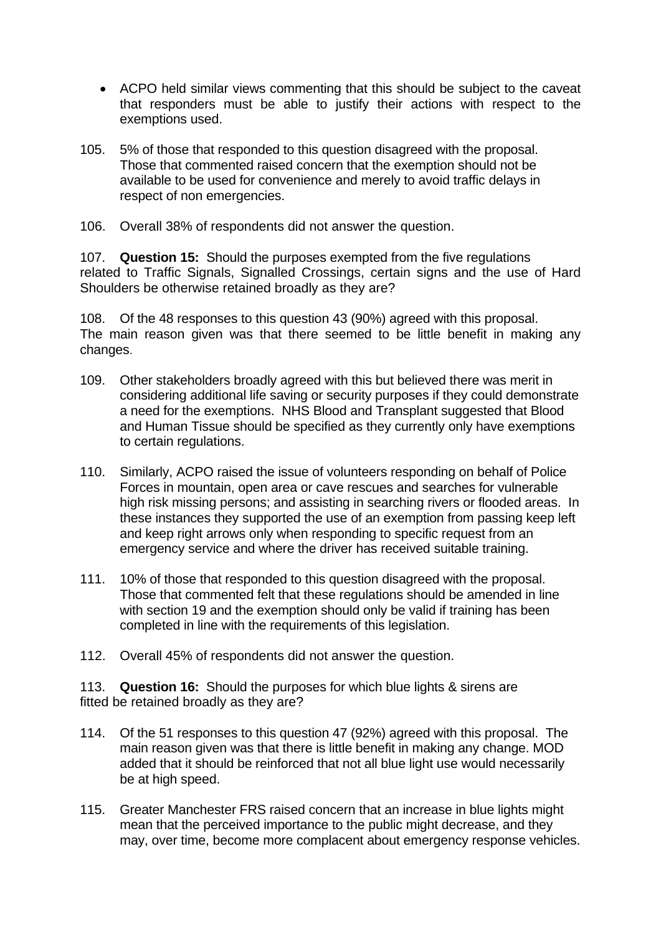- ACPO held similar views commenting that this should be subject to the caveat that responders must be able to justify their actions with respect to the exemptions used.
- 105. 5% of those that responded to this question disagreed with the proposal. Those that commented raised concern that the exemption should not be available to be used for convenience and merely to avoid traffic delays in respect of non emergencies.
- 106. Overall 38% of respondents did not answer the question.

107. **Question 15:** Should the purposes exempted from the five regulations related to Traffic Signals, Signalled Crossings, certain signs and the use of Hard Shoulders be otherwise retained broadly as they are?

108. Of the 48 responses to this question 43 (90%) agreed with this proposal. The main reason given was that there seemed to be little benefit in making any changes.

- 109. Other stakeholders broadly agreed with this but believed there was merit in considering additional life saving or security purposes if they could demonstrate a need for the exemptions. NHS Blood and Transplant suggested that Blood and Human Tissue should be specified as they currently only have exemptions to certain regulations.
- 110. Similarly, ACPO raised the issue of volunteers responding on behalf of Police Forces in mountain, open area or cave rescues and searches for vulnerable high risk missing persons; and assisting in searching rivers or flooded areas. In these instances they supported the use of an exemption from passing keep left and keep right arrows only when responding to specific request from an emergency service and where the driver has received suitable training.
- 111. 10% of those that responded to this question disagreed with the proposal. Those that commented felt that these regulations should be amended in line with section 19 and the exemption should only be valid if training has been completed in line with the requirements of this legislation.
- 112. Overall 45% of respondents did not answer the question.

113. **Question 16:** Should the purposes for which blue lights & sirens are fitted be retained broadly as they are?

- 114. Of the 51 responses to this question 47 (92%) agreed with this proposal. The main reason given was that there is little benefit in making any change. MOD added that it should be reinforced that not all blue light use would necessarily be at high speed.
- 115. Greater Manchester FRS raised concern that an increase in blue lights might mean that the perceived importance to the public might decrease, and they may, over time, become more complacent about emergency response vehicles.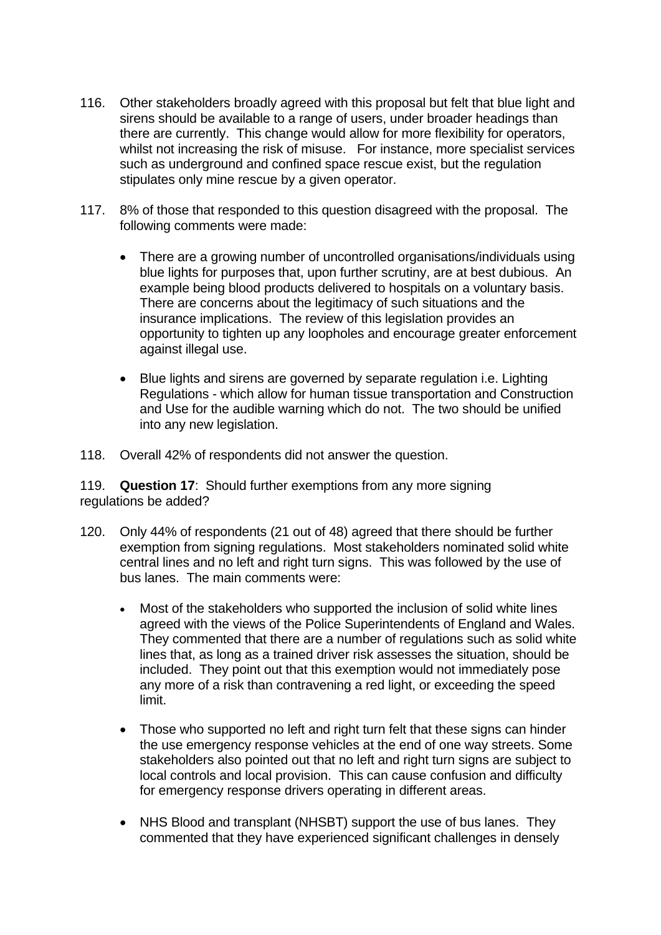- 116. Other stakeholders broadly agreed with this proposal but felt that blue light and sirens should be available to a range of users, under broader headings than there are currently. This change would allow for more flexibility for operators, whilst not increasing the risk of misuse. For instance, more specialist services such as underground and confined space rescue exist, but the regulation stipulates only mine rescue by a given operator.
- 117. 8% of those that responded to this question disagreed with the proposal. The following comments were made:
	- There are a growing number of uncontrolled organisations/individuals using blue lights for purposes that, upon further scrutiny, are at best dubious. An example being blood products delivered to hospitals on a voluntary basis. There are concerns about the legitimacy of such situations and the insurance implications. The review of this legislation provides an opportunity to tighten up any loopholes and encourage greater enforcement against illegal use.
	- Blue lights and sirens are governed by separate regulation i.e. Lighting Regulations - which allow for human tissue transportation and Construction and Use for the audible warning which do not. The two should be unified into any new legislation.
- 118. Overall 42% of respondents did not answer the question.

119. **Question 17**: Should further exemptions from any more signing regulations be added?

- 120. Only 44% of respondents (21 out of 48) agreed that there should be further exemption from signing regulations. Most stakeholders nominated solid white central lines and no left and right turn signs. This was followed by the use of bus lanes. The main comments were:
	- Most of the stakeholders who supported the inclusion of solid white lines agreed with the views of the Police Superintendents of England and Wales. They commented that there are a number of regulations such as solid white lines that, as long as a trained driver risk assesses the situation, should be included. They point out that this exemption would not immediately pose any more of a risk than contravening a red light, or exceeding the speed limit.
	- Those who supported no left and right turn felt that these signs can hinder the use emergency response vehicles at the end of one way streets. Some stakeholders also pointed out that no left and right turn signs are subject to local controls and local provision. This can cause confusion and difficulty for emergency response drivers operating in different areas.
	- NHS Blood and transplant (NHSBT) support the use of bus lanes. They commented that they have experienced significant challenges in densely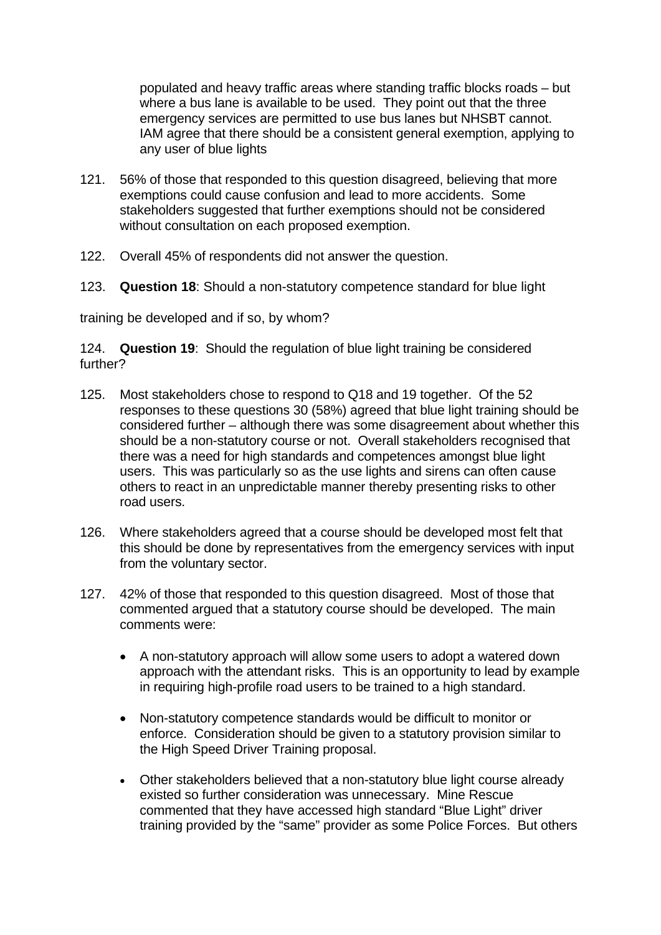populated and heavy traffic areas where standing traffic blocks roads – but where a bus lane is available to be used. They point out that the three emergency services are permitted to use bus lanes but NHSBT cannot. IAM agree that there should be a consistent general exemption, applying to any user of blue lights

- 121. 56% of those that responded to this question disagreed, believing that more exemptions could cause confusion and lead to more accidents. Some stakeholders suggested that further exemptions should not be considered without consultation on each proposed exemption.
- 122. Overall 45% of respondents did not answer the question.
- 123. **Question 18**: Should a non-statutory competence standard for blue light

training be developed and if so, by whom?

 124. **Question 19**: Should the regulation of blue light training be considered further?

- road users. 125. Most stakeholders chose to respond to Q18 and 19 together. Of the 52 responses to these questions 30 (58%) agreed that blue light training should be considered further – although there was some disagreement about whether this should be a non-statutory course or not. Overall stakeholders recognised that there was a need for high standards and competences amongst blue light users. This was particularly so as the use lights and sirens can often cause others to react in an unpredictable manner thereby presenting risks to other
- 126. Where stakeholders agreed that a course should be developed most felt that this should be done by representatives from the emergency services with input from the voluntary sector.
- 127. 42% of those that responded to this question disagreed. Most of those that commented argued that a statutory course should be developed. The main comments were:
	- A non-statutory approach will allow some users to adopt a watered down approach with the attendant risks. This is an opportunity to lead by example in requiring high-profile road users to be trained to a high standard.
	- Non-statutory competence standards would be difficult to monitor or enforce. Consideration should be given to a statutory provision similar to the High Speed Driver Training proposal.
	- Other stakeholders believed that a non-statutory blue light course already existed so further consideration was unnecessary. Mine Rescue commented that they have accessed high standard "Blue Light" driver training provided by the "same" provider as some Police Forces. But others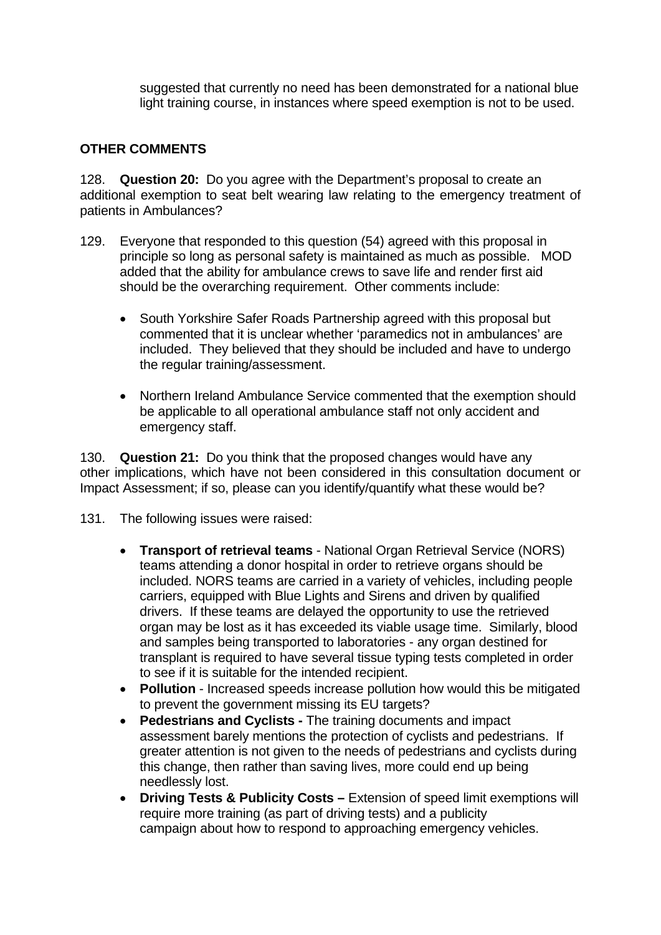suggested that currently no need has been demonstrated for a national blue light training course, in instances where speed exemption is not to be used.

## **OTHER COMMENTS**

128. **Question 20:** Do you agree with the Department's proposal to create an additional exemption to seat belt wearing law relating to the emergency treatment of patients in Ambulances?

- 129. Everyone that responded to this question (54) agreed with this proposal in principle so long as personal safety is maintained as much as possible. MOD added that the ability for ambulance crews to save life and render first aid should be the overarching requirement. Other comments include:
	- South Yorkshire Safer Roads Partnership agreed with this proposal but commented that it is unclear whether 'paramedics not in ambulances' are included. They believed that they should be included and have to undergo the regular training/assessment.
	- Northern Ireland Ambulance Service commented that the exemption should be applicable to all operational ambulance staff not only accident and emergency staff.

130. **Question 21:** Do you think that the proposed changes would have any other implications, which have not been considered in this consultation document or Impact Assessment; if so, please can you identify/quantify what these would be?

131. The following issues were raised:

- **Transport of retrieval teams** National Organ Retrieval Service (NORS) teams attending a donor hospital in order to retrieve organs should be included. NORS teams are carried in a variety of vehicles, including people carriers, equipped with Blue Lights and Sirens and driven by qualified drivers. If these teams are delayed the opportunity to use the retrieved organ may be lost as it has exceeded its viable usage time. Similarly, blood and samples being transported to laboratories - any organ destined for transplant is required to have several tissue typing tests completed in order to see if it is suitable for the intended recipient.
- **Pollution** Increased speeds increase pollution how would this be mitigated to prevent the government missing its EU targets?
- **Pedestrians and Cyclists** The training documents and impact assessment barely mentions the protection of cyclists and pedestrians. If greater attention is not given to the needs of pedestrians and cyclists during this change, then rather than saving lives, more could end up being needlessly lost.
- **Driving Tests & Publicity Costs Extension of speed limit exemptions will** require more training (as part of driving tests) and a publicity campaign about how to respond to approaching emergency vehicles.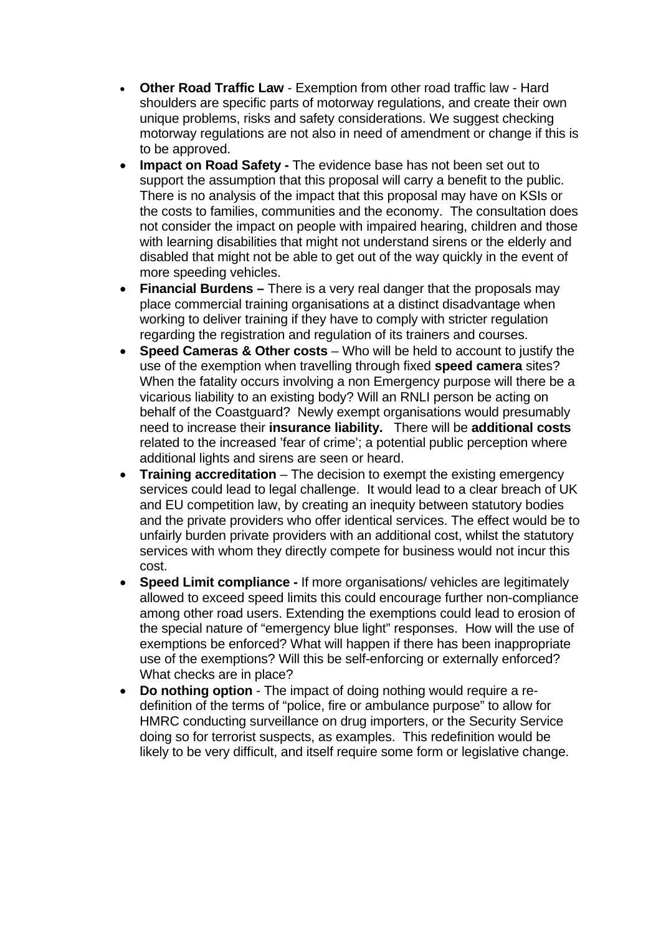- **Other Road Traffic Law** Exemption from other road traffic law Hard shoulders are specific parts of motorway regulations, and create their own unique problems, risks and safety considerations. We suggest checking motorway regulations are not also in need of amendment or change if this is to be approved.
- **Impact on Road Safety The evidence base has not been set out to** support the assumption that this proposal will carry a benefit to the public. There is no analysis of the impact that this proposal may have on KSIs or the costs to families, communities and the economy. The consultation does not consider the impact on people with impaired hearing, children and those with learning disabilities that might not understand sirens or the elderly and disabled that might not be able to get out of the way quickly in the event of more speeding vehicles.
- **Financial Burdens –** There is a very real danger that the proposals may place commercial training organisations at a distinct disadvantage when working to deliver training if they have to comply with stricter regulation regarding the registration and regulation of its trainers and courses.
- **Speed Cameras & Other costs** Who will be held to account to justify the use of the exemption when travelling through fixed **speed camera** sites? When the fatality occurs involving a non Emergency purpose will there be a vicarious liability to an existing body? Will an RNLI person be acting on behalf of the Coastguard? Newly exempt organisations would presumably need to increase their **insurance liability.** There will be **additional costs**  related to the increased 'fear of crime'; a potential public perception where additional lights and sirens are seen or heard.
- **Training accreditation** The decision to exempt the existing emergency services could lead to legal challenge. It would lead to a clear breach of UK and EU competition law, by creating an inequity between statutory bodies and the private providers who offer identical services. The effect would be to unfairly burden private providers with an additional cost, whilst the statutory services with whom they directly compete for business would not incur this cost.
- **Speed Limit compliance** If more organisations/ vehicles are legitimately allowed to exceed speed limits this could encourage further non-compliance among other road users. Extending the exemptions could lead to erosion of the special nature of "emergency blue light" responses. How will the use of exemptions be enforced? What will happen if there has been inappropriate use of the exemptions? Will this be self-enforcing or externally enforced? What checks are in place?
- **Do nothing option** The impact of doing nothing would require a redefinition of the terms of "police, fire or ambulance purpose" to allow for HMRC conducting surveillance on drug importers, or the Security Service doing so for terrorist suspects, as examples. This redefinition would be likely to be very difficult, and itself require some form or legislative change.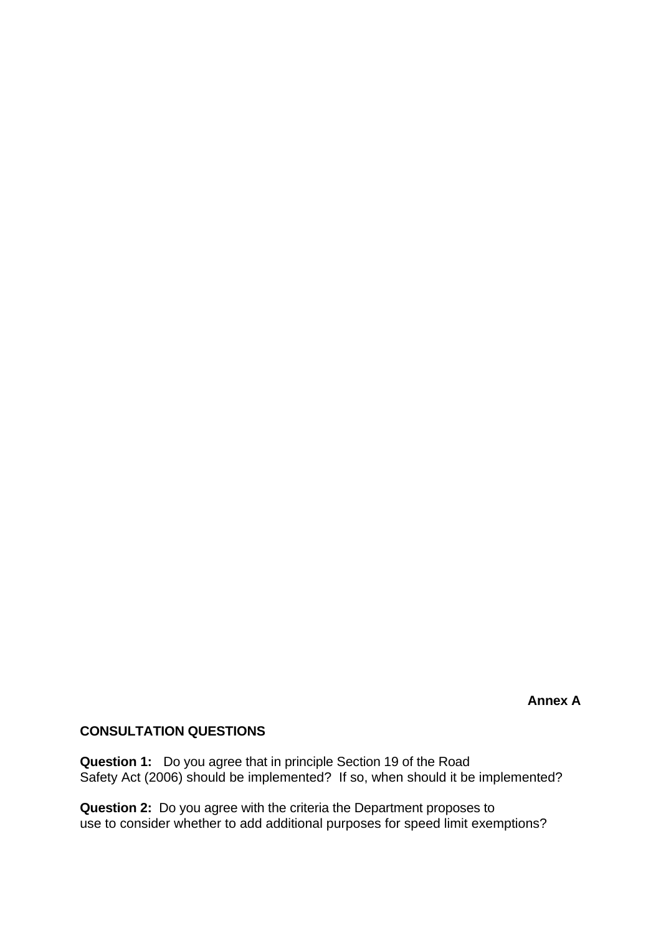**Annex A** 

# **CONSULTATION QUESTIONS**

**Question 1:** Do you agree that in principle Section 19 of the Road Safety Act (2006) should be implemented? If so, when should it be implemented?

**Question 2:** Do you agree with the criteria the Department proposes to use to consider whether to add additional purposes for speed limit exemptions?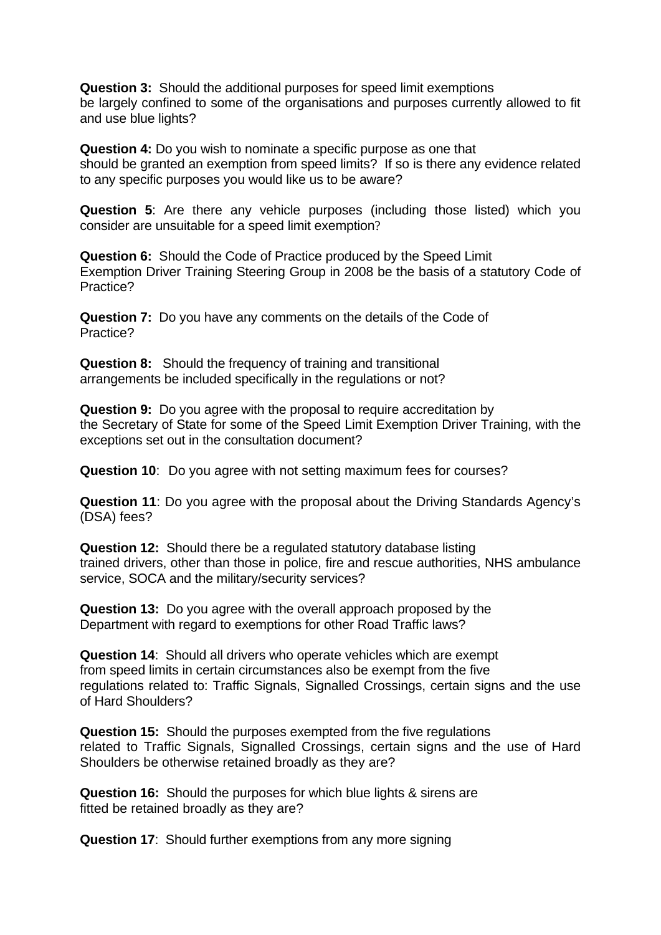**Question 3:** Should the additional purposes for speed limit exemptions be largely confined to some of the organisations and purposes currently allowed to fit and use blue lights?

**Question 4:** Do you wish to nominate a specific purpose as one that should be granted an exemption from speed limits? If so is there any evidence related to any specific purposes you would like us to be aware?

**Question 5**: Are there any vehicle purposes (including those listed) which you consider are unsuitable for a speed limit exemption?

**Question 6:** Should the Code of Practice produced by the Speed Limit Exemption Driver Training Steering Group in 2008 be the basis of a statutory Code of Practice?

**Question 7:** Do you have any comments on the details of the Code of Practice?

**Question 8:** Should the frequency of training and transitional arrangements be included specifically in the regulations or not?

**Question 9:** Do you agree with the proposal to require accreditation by the Secretary of State for some of the Speed Limit Exemption Driver Training, with the exceptions set out in the consultation document?

**Question 10**: Do you agree with not setting maximum fees for courses?

**Question 11**: Do you agree with the proposal about the Driving Standards Agency's (DSA) fees?

**Question 12:** Should there be a regulated statutory database listing trained drivers, other than those in police, fire and rescue authorities, NHS ambulance service, SOCA and the military/security services?

**Question 13:** Do you agree with the overall approach proposed by the Department with regard to exemptions for other Road Traffic laws?

 **Question 14**: Should all drivers who operate vehicles which are exempt from speed limits in certain circumstances also be exempt from the five regulations related to: Traffic Signals, Signalled Crossings, certain signs and the use of Hard Shoulders?

**Question 15:** Should the purposes exempted from the five regulations related to Traffic Signals, Signalled Crossings, certain signs and the use of Hard Shoulders be otherwise retained broadly as they are?

**Question 16:** Should the purposes for which blue lights & sirens are fitted be retained broadly as they are?

**Question 17**: Should further exemptions from any more signing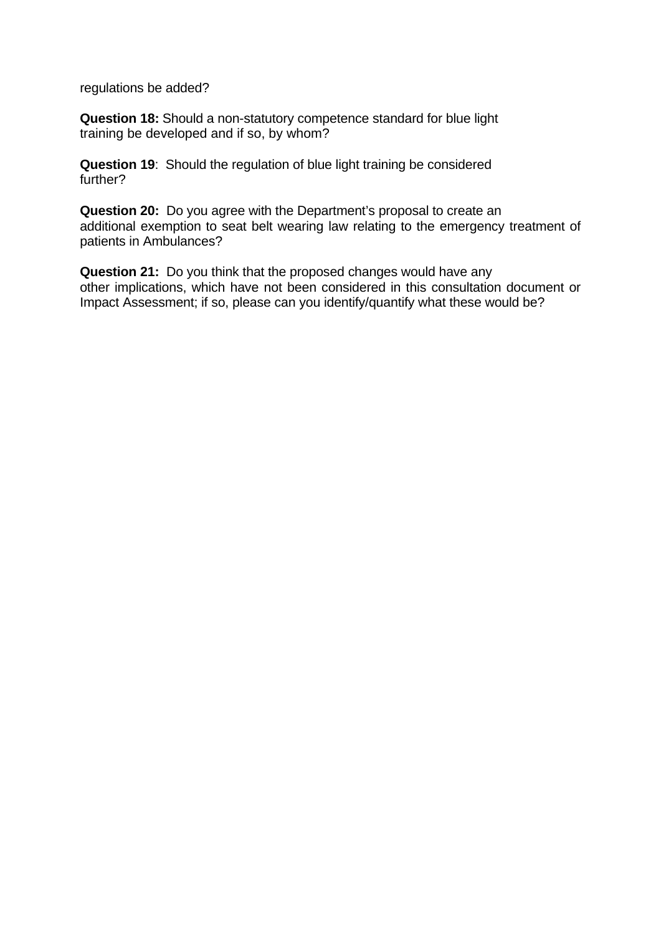regulations be added?

**Question 18:** Should a non-statutory competence standard for blue light training be developed and if so, by whom?

 **Question 19**: Should the regulation of blue light training be considered further?

**Question 20:** Do you agree with the Department's proposal to create an additional exemption to seat belt wearing law relating to the emergency treatment of patients in Ambulances?

**Question 21:** Do you think that the proposed changes would have any other implications, which have not been considered in this consultation document or Impact Assessment; if so, please can you identify/quantify what these would be?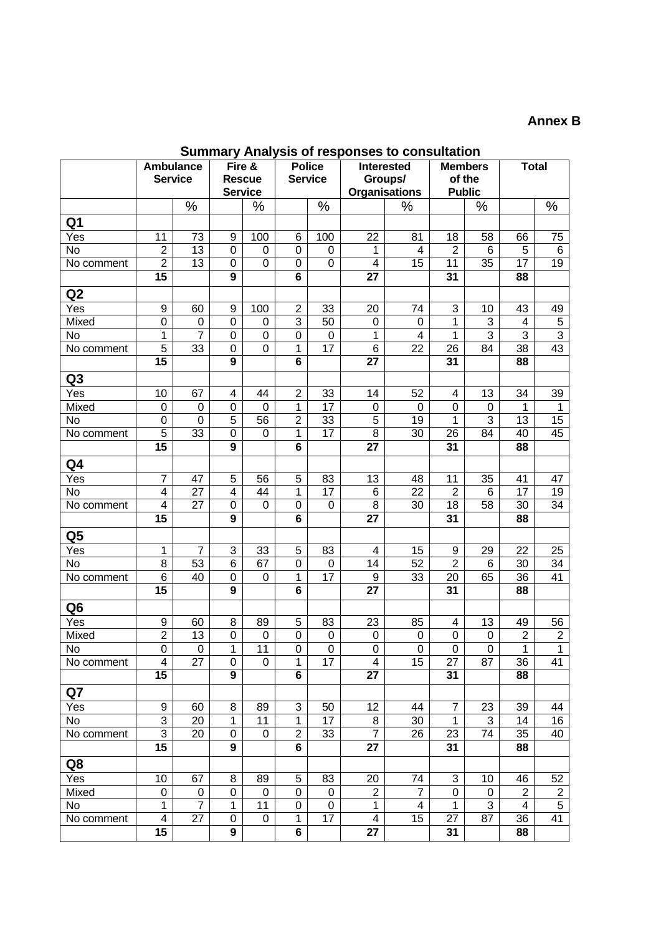## **Annex B**

**Summary Analysis of responses to consultation** 

|                    | <b>Ambulance</b>         |                             | Fire &                  |                    | ,,,,,,<br><b>Police</b>          |                  |                         | <b>Interested</b>    | <b>Members</b>          |                  | <b>Total</b>            |                                  |
|--------------------|--------------------------|-----------------------------|-------------------------|--------------------|----------------------------------|------------------|-------------------------|----------------------|-------------------------|------------------|-------------------------|----------------------------------|
|                    | <b>Service</b>           |                             |                         | <b>Rescue</b>      |                                  | <b>Service</b>   |                         | Groups/              | of the                  |                  |                         |                                  |
|                    |                          |                             |                         |                    |                                  |                  |                         |                      |                         |                  |                         |                                  |
|                    |                          |                             | <b>Service</b>          |                    |                                  |                  |                         | <b>Organisations</b> | <b>Public</b>           |                  |                         |                                  |
| Q <sub>1</sub>     |                          | %                           |                         | $\%$               |                                  | $\%$             |                         | $\%$                 |                         | $\%$             |                         | %                                |
| Yes                | 11                       | 73                          | 9                       | 100                | 6                                | 100              | $\overline{22}$         | 81                   | 18                      | 58               | 66                      | 75                               |
| <b>No</b>          | $\overline{2}$           | 13                          | $\boldsymbol{0}$        | 0                  | $\mathbf 0$                      | $\mathbf 0$      | $\mathbf{1}$            | 4                    | $\overline{2}$          | 6                | $\overline{5}$          | $\,6$                            |
| No comment         | $\overline{2}$           | 13                          | $\mathbf 0$             | $\boldsymbol{0}$   | $\mathbf 0$                      | $\boldsymbol{0}$ | $\overline{\mathbf{4}}$ | 15                   | 11                      | 35               | $\overline{17}$         | 19                               |
|                    | $\overline{15}$          |                             | $\overline{9}$          |                    | 6                                |                  | $\overline{27}$         |                      | 31                      |                  | 88                      |                                  |
| Q2                 |                          |                             |                         |                    |                                  |                  |                         |                      |                         |                  |                         |                                  |
|                    |                          |                             |                         |                    |                                  |                  |                         |                      |                         |                  |                         |                                  |
| Yes                | 9<br>$\mathbf 0$         | 60                          | $9\,$<br>$\overline{0}$ | 100<br>$\mathbf 0$ | $\overline{2}$<br>$\overline{3}$ | 33<br>50         | 20                      | 74<br>0              | 3<br>1                  | 10<br>3          | 43<br>$\overline{4}$    | 49                               |
| Mixed<br><b>No</b> | $\overline{1}$           | $\pmb{0}$<br>$\overline{7}$ | $\overline{0}$          | $\mathbf 0$        | $\overline{0}$                   | $\mathbf 0$      | $\pmb{0}$<br>1          | $\overline{4}$       | 1                       | $\overline{3}$   | $\overline{3}$          | $\overline{5}$<br>$\overline{3}$ |
| No comment         | $\overline{5}$           | 33                          | $\mathbf 0$             | 0                  | $\mathbf{1}$                     | 17               | $\overline{6}$          | 22                   | 26                      | 84               | $\overline{38}$         | 43                               |
|                    | 15                       |                             | 9                       |                    | 6                                |                  | 27                      |                      | 31                      |                  | 88                      |                                  |
| Q <sub>3</sub>     |                          |                             |                         |                    |                                  |                  |                         |                      |                         |                  |                         |                                  |
| Yes                | 10                       | 67                          | 4                       | 44                 | $\overline{2}$                   | 33               | 14                      | 52                   | $\overline{\mathbf{4}}$ | 13               | 34                      | 39                               |
| Mixed              | $\mathbf 0$              | $\pmb{0}$                   | $\mathbf 0$             | $\mathbf 0$        | $\overline{1}$                   | 17               | $\boldsymbol{0}$        | 0                    | $\boldsymbol{0}$        | $\mathbf 0$      | 1                       | 1                                |
| <b>No</b>          | $\mathbf 0$              | $\overline{0}$              | 5                       | 56                 | $\overline{2}$                   | 33               | 5                       | 19                   | 1                       | 3                | 13                      | $\overline{15}$                  |
| No comment         | $\overline{5}$           | 33                          | $\mathbf 0$             | 0                  | $\mathbf{1}$                     | 17               | 8                       | 30                   | 26                      | 84               | 40                      | 45                               |
|                    | 15                       |                             | 9                       |                    | 6                                |                  | 27                      |                      | 31                      |                  | 88                      |                                  |
| Q4                 |                          |                             |                         |                    |                                  |                  |                         |                      |                         |                  |                         |                                  |
| Yes                | $\overline{7}$           | 47                          | 5                       | 56                 | $\sqrt{5}$                       | 83               | 13                      | 48                   | 11                      | 35               | 41                      | 47                               |
| $\overline{N}$     | $\overline{\mathbf{4}}$  | 27                          | 4                       | 44                 | 1                                | 17               | 6                       | 22                   | $\overline{2}$          | $6\phantom{1}6$  | 17                      | 19                               |
| No comment         | $\overline{\mathcal{A}}$ | 27                          | $\boldsymbol{0}$        | 0                  | $\pmb{0}$                        | $\pmb{0}$        | 8                       | 30                   | 18                      | 58               | 30                      | 34                               |
|                    | 15                       |                             | 9                       |                    | 6                                |                  | 27                      |                      | 31                      |                  | 88                      |                                  |
| Q <sub>5</sub>     |                          |                             |                         |                    |                                  |                  |                         |                      |                         |                  |                         |                                  |
| Yes                | $\mathbf{1}$             | 7                           | 3                       | 33                 | 5                                | 83               | 4                       | 15                   | 9                       | 29               | 22                      | 25                               |
| <b>No</b>          | 8                        | 53                          | 6                       | 67                 | $\pmb{0}$                        | $\mathbf 0$      | 14                      | 52                   | $\overline{2}$          | 6                | 30                      | 34                               |
| No comment         | 6                        | 40                          | 0                       | 0                  | 1                                | 17               | 9                       | 33                   | 20                      | 65               | 36                      | 41                               |
|                    | 15                       |                             | 9                       |                    | $6\phantom{a}$                   |                  | 27                      |                      | 31                      |                  | 88                      |                                  |
| Q <sub>6</sub>     |                          |                             |                         |                    |                                  |                  |                         |                      |                         |                  |                         |                                  |
| Yes                | 9                        | 60                          | 8                       | 89                 | 5                                | 83               | 23                      | 85                   | $\overline{4}$          | 13               | 49                      | 56                               |
| Mixed              | $\overline{2}$           | 13                          | $\overline{0}$          | $\boldsymbol{0}$   | $\overline{0}$                   | $\,0\,$          | $\mathbf 0$             | 0                    | $\pmb{0}$               | $\boldsymbol{0}$ | $\overline{2}$          | $\overline{2}$                   |
| No                 | $\overline{0}$           | $\mathbf 0$                 | 1                       | $\overline{11}$    | $\overline{0}$                   | $\overline{0}$   | $\overline{0}$          | $\overline{0}$       | $\overline{0}$          | $\overline{0}$   | $\overline{1}$          | $\overline{1}$                   |
| No comment         | 4<br>15                  | 27                          | 0<br>9                  | 0                  | 1<br>6                           | 17               | 4<br>27                 | 15                   | 27<br>31                | 87               | 36<br>88                | 41                               |
|                    |                          |                             |                         |                    |                                  |                  |                         |                      |                         |                  |                         |                                  |
| Q7                 | 9                        | 60                          |                         | 89                 | $\overline{3}$                   |                  | 12                      |                      | $\overline{7}$          | 23               | 39                      |                                  |
| Yes<br>No          | $\overline{3}$           | 20                          | 8<br>1                  | 11                 | $\mathbf{1}$                     | 50<br>17         | 8                       | 44<br>30             | $\mathbf{1}$            | 3                | 14                      | 44<br>16                         |
| No comment         | $\overline{3}$           | 20                          | 0                       | 0                  | $\overline{2}$                   | 33               | $\overline{7}$          | 26                   | 23                      | 74               | 35                      | 40                               |
|                    | $\overline{15}$          |                             | 9                       |                    | 6                                |                  | $\overline{27}$         |                      | 31                      |                  | 88                      |                                  |
| Q8                 |                          |                             |                         |                    |                                  |                  |                         |                      |                         |                  |                         |                                  |
| Yes                | 10                       | 67                          | 8                       | 89                 | 5                                | 83               | 20                      | 74                   | 3                       | 10               | 46                      | 52                               |
| Mixed              | $\pmb{0}$                | $\pmb{0}$                   | $\boldsymbol{0}$        | $\mathbf 0$        | 0                                | $\pmb{0}$        | $\overline{2}$          | $\overline{7}$       | 0                       | $\pmb{0}$        | $\boldsymbol{2}$        | $\boldsymbol{2}$                 |
| No                 | 1                        | $\overline{7}$              | 1                       | 11                 | $\pmb{0}$                        | $\mathsf 0$      | $\mathbf 1$             | 4                    | 1                       | 3                | $\overline{\mathbf{4}}$ | $\overline{5}$                   |
| No comment         | 4                        | 27                          | 0                       | 0                  | 1                                | 17               | 4                       | 15                   | 27                      | 87               | 36                      | 41                               |
|                    | 15                       |                             | 9                       |                    | 6                                |                  | 27                      |                      | 31                      |                  | 88                      |                                  |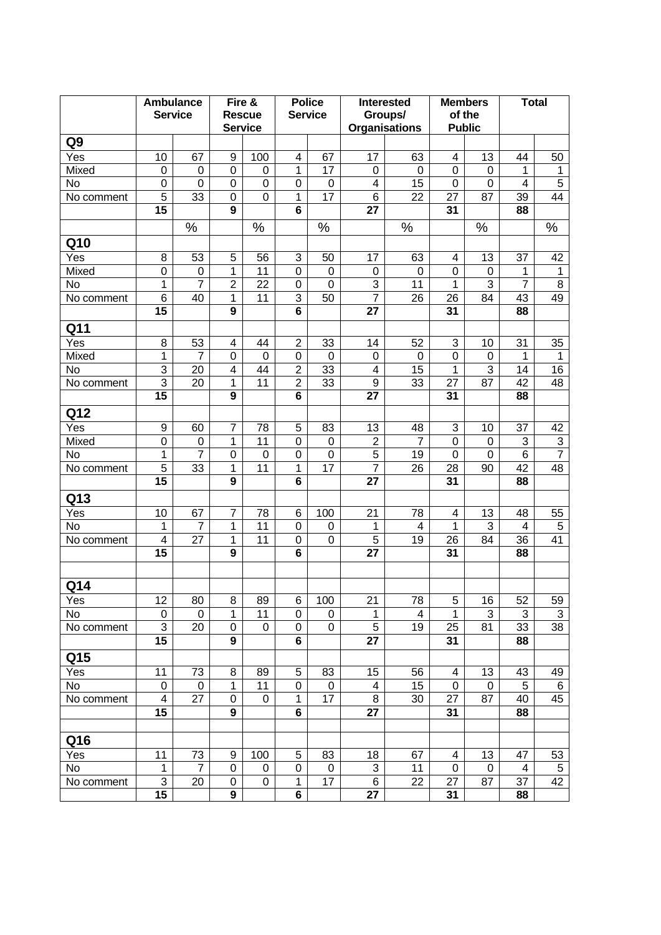|                  |                  | <b>Ambulance</b><br><b>Service</b> |                | Fire &<br><b>Rescue</b><br><b>Service</b> |                          |             | <b>Police</b><br><b>Service</b> | <b>Interested</b> | Groups/<br><b>Organisations</b> | <b>Members</b><br>of the<br><b>Public</b> |                          |                | <b>Total</b> |  |
|------------------|------------------|------------------------------------|----------------|-------------------------------------------|--------------------------|-------------|---------------------------------|-------------------|---------------------------------|-------------------------------------------|--------------------------|----------------|--------------|--|
| Q <sub>9</sub>   |                  |                                    |                |                                           |                          |             |                                 |                   |                                 |                                           |                          |                |              |  |
| $\overline{Yes}$ | 10               | 67                                 | 9              | 100                                       | $\overline{\mathcal{A}}$ | 67          | 17                              | 63                | 4                               | 13                                        | 44                       | 50             |              |  |
| Mixed            | 0                | $\mathbf 0$                        | $\mathbf 0$    | 0                                         | 1                        | 17          | 0                               | $\Omega$          | 0                               | 0                                         | 1                        | 1              |              |  |
| <b>No</b>        | 0                | $\mathbf 0$                        | $\mathbf 0$    | 0                                         | 0                        | $\mathbf 0$ | $\overline{\mathcal{A}}$        | 15                | $\boldsymbol{0}$                | $\mathbf 0$                               | $\overline{\mathcal{A}}$ | $\overline{5}$ |              |  |
| No comment       | 5                | 33                                 | $\mathbf 0$    | 0                                         | 1                        | 17          | 6                               | 22                | 27                              | 87                                        | 39                       | 44             |              |  |
|                  | 15               |                                    | 9              |                                           | 6                        |             | 27                              |                   | 31                              |                                           | 88                       |                |              |  |
|                  |                  | %                                  |                | %                                         |                          | %           |                                 | %                 |                                 | %                                         |                          | %              |              |  |
| Q10              |                  |                                    |                |                                           |                          |             |                                 |                   |                                 |                                           |                          |                |              |  |
| Yes              | 8                | 53                                 | 5              | 56                                        | 3                        | 50          | 17                              | 63                | 4                               | 13                                        | 37                       | 42             |              |  |
| Mixed            | $\boldsymbol{0}$ | 0                                  | 1              | 11                                        | 0                        | $\mathbf 0$ | $\mathbf 0$                     | 0                 | 0                               | $\mathbf 0$                               | 1                        | 1              |              |  |
| No               | 1                | $\overline{7}$                     | $\overline{2}$ | 22                                        | 0                        | $\mathbf 0$ | $\ensuremath{\mathsf{3}}$       | 11                | 1                               | 3                                         | $\overline{7}$           | 8              |              |  |
| No comment       | $\,6$            | 40                                 | 1              | 11                                        | 3                        | 50          | $\overline{7}$                  | 26                | 26                              | 84                                        | 43                       | 49             |              |  |
|                  | 15               |                                    | 9              |                                           | 6                        |             | 27                              |                   | 31                              |                                           | 88                       |                |              |  |
| Q11              |                  |                                    |                |                                           |                          |             |                                 |                   |                                 |                                           |                          |                |              |  |
| $\overline{Yes}$ | 8                | 53                                 | 4              | 44                                        | $\overline{2}$           | 33          | 14                              | 52                | 3                               | 10                                        | 31                       | 35             |              |  |
| Mixed            | 1                | $\overline{7}$                     | 0              | 0                                         | $\mathbf 0$              | 0           | 0                               | 0                 | 0                               | 0                                         | 1                        | 1              |              |  |
| <b>No</b>        | $\overline{3}$   | 20                                 | 4              | 44                                        | $\overline{2}$           | 33          | 4                               | 15                | 1                               | 3                                         | 14                       | 16             |              |  |
| No comment       | $\overline{3}$   | 20                                 | 1              | 11                                        | $\overline{2}$           | 33          | 9                               | 33                | 27                              | 87                                        | 42                       | 48             |              |  |
|                  | $\overline{15}$  |                                    | 9              |                                           | $\overline{\mathbf{6}}$  |             | 27                              |                   | 31                              |                                           | 88                       |                |              |  |
| Q12              |                  |                                    |                |                                           |                          |             |                                 |                   |                                 |                                           |                          |                |              |  |
| Yes              | $\boldsymbol{9}$ | 60                                 | 7              | 78                                        | 5                        | 83          | 13                              | 48                | 3                               | 10                                        | 37                       | 42             |              |  |
| Mixed            | $\pmb{0}$        | $\mathbf 0$                        | 1              | 11                                        | $\overline{0}$           | $\mathbf 0$ | $\overline{2}$                  | $\overline{7}$    | 0                               | 0                                         | $\overline{3}$           | $\overline{3}$ |              |  |
| No               | 1                | $\overline{7}$                     | $\overline{0}$ | $\mathbf 0$                               | 0                        | $\mathbf 0$ | $\overline{5}$                  | 19                | $\mathbf 0$                     | 0                                         | $\overline{6}$           | $\overline{7}$ |              |  |
| No comment       | $\overline{5}$   | 33                                 | $\mathbf 1$    | 11                                        | $\mathbf{1}$             | 17          | $\overline{7}$                  | 26                | 28                              | 90                                        | 42                       | 48             |              |  |
|                  | 15               |                                    | 9              |                                           | $6\phantom{1}$           |             | 27                              |                   | 31                              |                                           | 88                       |                |              |  |
| Q13              |                  |                                    |                |                                           |                          |             |                                 |                   |                                 |                                           |                          |                |              |  |
| Yes              | 10               | 67                                 | 7              | 78                                        | 6                        | 100         | 21                              | 78                | 4                               | 13                                        | 48                       | 55             |              |  |
| <b>No</b>        | 1                | $\overline{7}$                     | 1              | 11                                        | $\mathbf 0$              | 0           | 1                               | 4                 | 1                               | 3                                         | $\overline{4}$           | 5              |              |  |
| No comment       | 4                | 27                                 | 1              | 11                                        | 0                        | 0           | 5                               | 19                | 26                              | 84                                        | 36                       | 41             |              |  |
|                  | 15               |                                    | 9              |                                           | 6                        |             | 27                              |                   | 31                              |                                           | 88                       |                |              |  |
|                  |                  |                                    |                |                                           |                          |             |                                 |                   |                                 |                                           |                          |                |              |  |
| Q14              |                  |                                    |                |                                           |                          |             |                                 |                   |                                 |                                           |                          |                |              |  |
| Yes              | 12               | 80                                 | 8              | 89                                        | 6                        | 100         | 21                              | 78                | 5                               | 16                                        | 52                       | 59             |              |  |
| <b>No</b>        | 0                | 0                                  | 1              | 11                                        | 0                        | 0           | 1                               | 4                 | 1                               | 3                                         | 3                        | 3              |              |  |
| No comment       | $\overline{3}$   | 20                                 | $\mathbf 0$    | 0                                         | 0                        | 0           | $\overline{5}$                  | 19                | 25                              | 81                                        | 33                       | 38             |              |  |
|                  | 15               |                                    | 9              |                                           | $\overline{\mathbf{6}}$  |             | 27                              |                   | 31                              |                                           | 88                       |                |              |  |
| Q15              |                  |                                    |                |                                           |                          |             |                                 |                   |                                 |                                           |                          |                |              |  |
| Yes              | 11               | 73                                 | 8              | 89                                        | 5                        | 83          | 15                              | 56                | 4                               | 13                                        | 43                       | 49             |              |  |
| No               | 0                | 0                                  | 1              | 11                                        | $\mathbf 0$              | 0           | 4                               | 15                | 0                               | 0                                         | 5                        | 6              |              |  |
| No comment       | 4                | 27                                 | 0              | 0                                         | $\mathbf{1}$             | 17          | 8                               | 30                | 27                              | 87                                        | 40                       | 45             |              |  |
|                  | 15               |                                    | 9              |                                           | 6                        |             | 27                              |                   | 31                              |                                           | 88                       |                |              |  |
|                  |                  |                                    |                |                                           |                          |             |                                 |                   |                                 |                                           |                          |                |              |  |
| Q16              |                  |                                    |                |                                           |                          |             |                                 |                   |                                 |                                           |                          |                |              |  |
| Yes              | 11               | 73                                 | 9              | 100                                       | 5                        | 83          | 18                              | 67                | 4                               | 13                                        | 47                       | 53             |              |  |
| No               | 1                | 7                                  | $\pmb{0}$      | 0                                         | 0                        | 0           | 3                               | 11                | $\pmb{0}$                       | $\pmb{0}$                                 | 4                        | 5              |              |  |
| No comment       | 3                | 20                                 | 0              | 0                                         | 1                        | 17          | 6                               | 22                | 27                              | 87                                        | 37                       | 42             |              |  |
|                  | 15               |                                    | 9              |                                           | 6                        |             | 27                              |                   | 31                              |                                           | 88                       |                |              |  |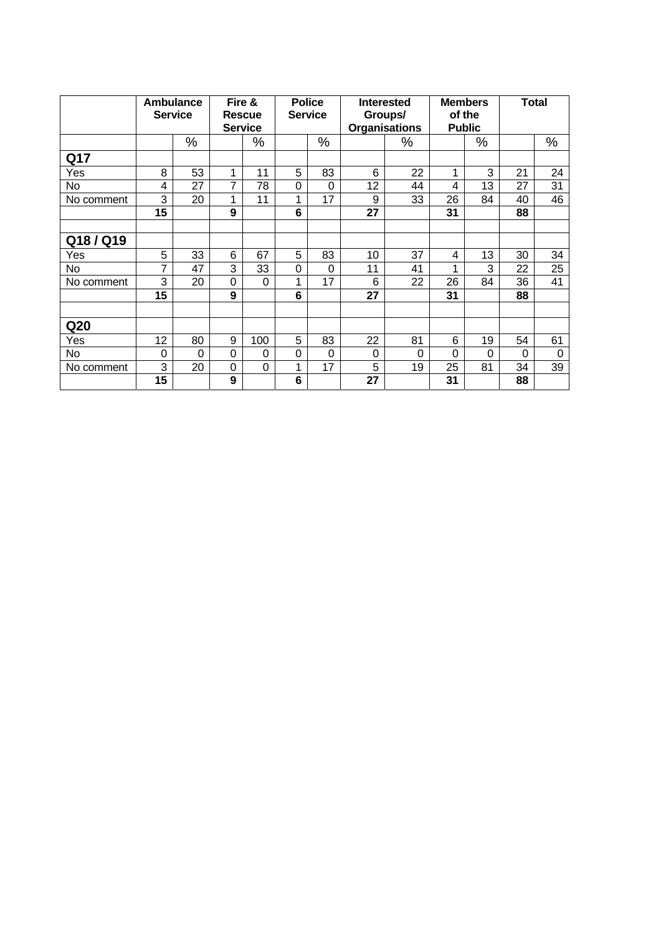|                 | <b>Ambulance</b><br><b>Service</b> |          | Fire &<br><b>Rescue</b><br><b>Service</b> |          | <b>Police</b><br><b>Service</b> |          | <b>Interested</b><br>Groups/<br><b>Organisations</b> |          | <b>Members</b><br>of the<br><b>Public</b> |          | <b>Total</b> |      |
|-----------------|------------------------------------|----------|-------------------------------------------|----------|---------------------------------|----------|------------------------------------------------------|----------|-------------------------------------------|----------|--------------|------|
|                 |                                    | %        |                                           | %        |                                 | $\%$     |                                                      | ℅        |                                           | %        |              | $\%$ |
| Q17             |                                    |          |                                           |          |                                 |          |                                                      |          |                                           |          |              |      |
| Yes             | 8                                  | 53       | 1                                         | 11       | 5                               | 83       | 6                                                    | 22       | 1                                         | 3        | 21           | 24   |
| <b>No</b>       | 4                                  | 27       | 7                                         | 78       | 0                               | $\Omega$ | 12                                                   | 44       | 4                                         | 13       | 27           | 31   |
| No comment      | 3                                  | 20       | 1                                         | 11       | 4                               | 17       | 9                                                    | 33       | 26                                        | 84       | 40           | 46   |
|                 | 15                                 |          | 9                                         |          | 6                               |          | 27                                                   |          | 31                                        |          | 88           |      |
| Q18/Q19         |                                    |          |                                           |          |                                 |          |                                                      |          |                                           |          |              |      |
| Yes             | 5                                  | 33       | 6                                         | 67       | 5                               | 83       | 10                                                   | 37       | 4                                         | 13       | 30           | 34   |
| No.             | 7                                  | 47       | 3                                         | 33       | 0                               | 0        | 11                                                   | 41       | 1                                         | 3        | 22           | 25   |
| No comment      | 3                                  | 20       | 0                                         | $\Omega$ | 4                               | 17       | 6                                                    | 22       | 26                                        | 84       | 36           | 41   |
|                 | 15                                 |          | 9                                         |          | 6                               |          | 27                                                   |          | 31                                        |          | 88           |      |
| Q <sub>20</sub> |                                    |          |                                           |          |                                 |          |                                                      |          |                                           |          |              |      |
| Yes             | 12                                 | 80       | 9                                         | 100      | 5                               | 83       | 22                                                   | 81       | 6                                         | 19       | 54           | 61   |
| No.             | 0                                  | $\Omega$ | 0                                         | 0        | $\Omega$                        | $\Omega$ | 0                                                    | $\Omega$ | $\Omega$                                  | $\Omega$ | $\Omega$     | 0    |
| No comment      | 3                                  | 20       | 0                                         | $\Omega$ | 1                               | 17       | 5                                                    | 19       | 25                                        | 81       | 34           | 39   |
|                 | 15                                 |          | 9                                         |          | 6                               |          | 27                                                   |          | 31                                        |          | 88           |      |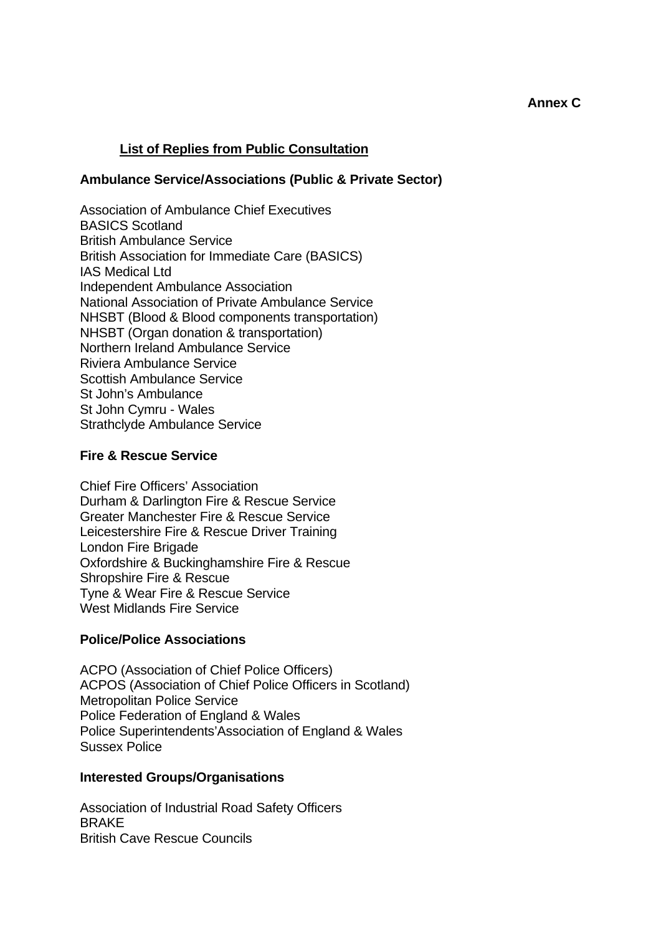## **List of Replies from Public Consultation**

#### **Ambulance Service/Associations (Public & Private Sector)**

Association of Ambulance Chief Executives BASICS Scotland British Ambulance Service British Association for Immediate Care (BASICS) IAS Medical Ltd Independent Ambulance Association National Association of Private Ambulance Service NHSBT (Blood & Blood components transportation) NHSBT (Organ donation & transportation) Northern Ireland Ambulance Service Riviera Ambulance Service Scottish Ambulance Service St John's Ambulance St John Cymru - Wales Strathclyde Ambulance Service

#### **Fire & Rescue Service**

Chief Fire Officers' Association Durham & Darlington Fire & Rescue Service Greater Manchester Fire & Rescue Service Leicestershire Fire & Rescue Driver Training London Fire Brigade Oxfordshire & Buckinghamshire Fire & Rescue Shropshire Fire & Rescue Tyne & Wear Fire & Rescue Service West Midlands Fire Service

### **Police/Police Associations**

ACPO (Association of Chief Police Officers) ACPOS (Association of Chief Police Officers in Scotland) Metropolitan Police Service Police Federation of England & Wales Police Superintendents'Association of England & Wales Sussex Police

#### **Interested Groups/Organisations**

Association of Industrial Road Safety Officers BRAKE British Cave Rescue Councils